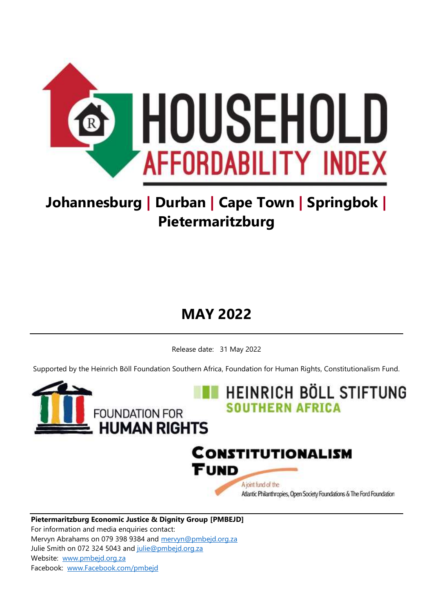

# **Johannesburg | Durban | Cape Town | Springbok | Pietermaritzburg**

# **MAY 2022**

Release date: 31 May 2022

Supported by the Heinrich Böll Foundation Southern Africa, Foundation for Human Rights, Constitutionalism Fund.



**Pietermaritzburg Economic Justice & Dignity Group [PMBEJD]** For information and media enquiries contact: Mervyn Abrahams on 079 398 9384 and [mervyn@pmbejd.org.za](mailto:mervyn@pmbejd.org.za) Julie Smith on 072 324 5043 and [julie@pmbejd.org.za](mailto:julie@pmbejd.org.za) Website: [www.pmbejd.org.za](http://www.pmbejd.org.za/) Facebook: [www.Facebook.com/pmbejd](http://www.facebook.com/pmbejd)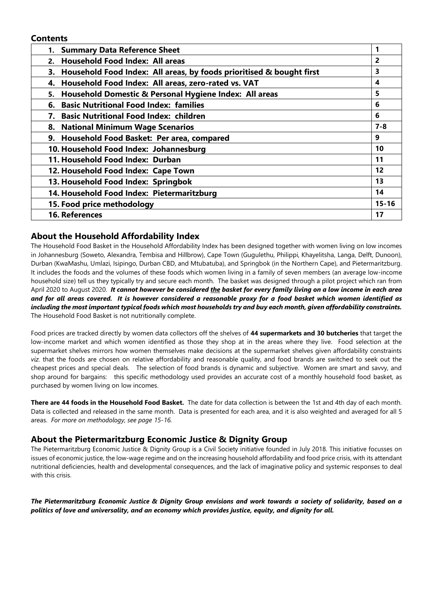#### **Contents**

| 1. Summary Data Reference Sheet                                         |           |
|-------------------------------------------------------------------------|-----------|
| 2. Household Food Index: All areas                                      | 2         |
| 3. Household Food Index: All areas, by foods prioritised & bought first | 3         |
| Household Food Index: All areas, zero-rated vs. VAT<br>4.               | 4         |
| Household Domestic & Personal Hygiene Index: All areas<br>5.            | 5         |
| <b>Basic Nutritional Food Index: families</b><br>6.                     | 6         |
| <b>Basic Nutritional Food Index: children</b><br>7.                     | 6         |
| 8. National Minimum Wage Scenarios                                      | $7 - 8$   |
| 9. Household Food Basket: Per area, compared                            | 9         |
| 10. Household Food Index: Johannesburg                                  | 10        |
| 11. Household Food Index: Durban                                        | 11        |
| 12. Household Food Index: Cape Town                                     | 12        |
| 13. Household Food Index: Springbok                                     | 13        |
| 14. Household Food Index: Pietermaritzburg                              | 14        |
| 15. Food price methodology                                              | $15 - 16$ |
| 16. References                                                          | 17        |

#### **About the Household Affordability Index**

The Household Food Basket in the Household Affordability Index has been designed together with women living on low incomes in Johannesburg (Soweto, Alexandra, Tembisa and Hillbrow), Cape Town (Gugulethu, Philippi, Khayelitsha, Langa, Delft, Dunoon), Durban (KwaMashu, Umlazi, Isipingo, Durban CBD, and Mtubatuba), and Springbok (in the Northern Cape), and Pietermaritzburg. It includes the foods and the volumes of these foods which women living in a family of seven members (an average low-income household size) tell us they typically try and secure each month. The basket was designed through a pilot project which ran from April 2020 to August 2020. *It cannot however be considered the basket for every family living on a low income in each area and for all areas covered. It is however considered a reasonable proxy for a food basket which women identified as including the most important typical foods which most households try and buy each month, given affordability constraints.*  The Household Food Basket is not nutritionally complete.

Food prices are tracked directly by women data collectors off the shelves of **44 supermarkets and 30 butcheries** that target the low-income market and which women identified as those they shop at in the areas where they live. Food selection at the supermarket shelves mirrors how women themselves make decisions at the supermarket shelves given affordability constraints *viz.* that the foods are chosen on relative affordability and reasonable quality, and food brands are switched to seek out the cheapest prices and special deals. The selection of food brands is dynamic and subjective. Women are smart and savvy, and shop around for bargains: this specific methodology used provides an accurate cost of a monthly household food basket, as purchased by women living on low incomes.

**There are 44 foods in the Household Food Basket.** The date for data collection is between the 1st and 4th day of each month. Data is collected and released in the same month. Data is presented for each area, and it is also weighted and averaged for all 5 areas. *For more on methodology, see page 15-16.* 

#### **About the Pietermaritzburg Economic Justice & Dignity Group**

The Pietermaritzburg Economic Justice & Dignity Group is a Civil Society initiative founded in July 2018. This initiative focusses on issues of economic justice, the low-wage regime and on the increasing household affordability and food price crisis, with its attendant nutritional deficiencies, health and developmental consequences, and the lack of imaginative policy and systemic responses to deal with this crisis.

*The Pietermaritzburg Economic Justice & Dignity Group envisions and work towards a society of solidarity, based on a politics of love and universality, and an economy which provides justice, equity, and dignity for all.*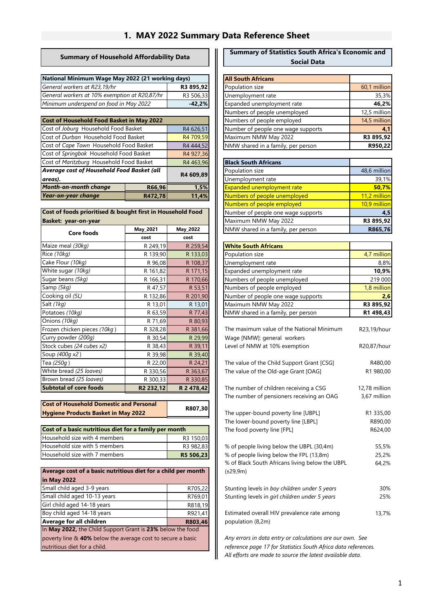## **1. MAY 2022 Summary Data Reference Sheet**

#### **Summary of Household Affordability Data**

| National Minimum Wage May 2022 (21 working days) |           |  |  |
|--------------------------------------------------|-----------|--|--|
| General workers at R23,19/hr                     | R3 895.92 |  |  |
| General workers at 10% exemption at R20,87/hr    | R3 506.33 |  |  |
| Minimum underspend on food in May 2022           | $-42.2%$  |  |  |

| <b>Cost of Household Food Basket in May 2022</b>      |           |           |  |  |  |
|-------------------------------------------------------|-----------|-----------|--|--|--|
| Cost of Joburg Household Food Basket                  |           | R4 626,51 |  |  |  |
| Cost of Durban Household Food Basket                  |           | R4 709,59 |  |  |  |
| Cost of Cape Town Household Food Basket               |           | R4 444,52 |  |  |  |
| Cost of Springbok Household Food Basket               |           | R4 927,36 |  |  |  |
| Cost of Maritzburg Household Food Basket              | R4 463,96 |           |  |  |  |
| Average cost of Household Food Basket (all<br>areas). | R4 609,89 |           |  |  |  |
| <b>Month-on-month change</b>                          | 1,5%      |           |  |  |  |
| Year-on-year change                                   | 11.4%     |           |  |  |  |

|                      | Cost of foods prioritised & bought first in Household Food |  |
|----------------------|------------------------------------------------------------|--|
| Basket: year-on-year |                                                            |  |

| Core foods                    | May 2021              | <b>May_2022</b> | NMW shared in a fami        |
|-------------------------------|-----------------------|-----------------|-----------------------------|
|                               | cost                  | cost            |                             |
| Maize meal (30kg)             | R 249,19              | R 259,54        | <b>White South Africans</b> |
| Rice (10kg)                   | R 139,90              | R 133,03        | Population size             |
| Cake Flour (10kg)             | R 96,08               | R 108,37        | Unemployment rate           |
| White sugar (10kg)            | R 161,82              | R 171,15        | Expanded unemploym          |
| Sugar beans (5kg)             | R 166,31              | R 170,66        | Numbers of people un        |
| Samp (5kg)                    | R 47,57               | R 53,51         | Numbers of people em        |
| Cooking oil (5L)              | R 132,86              | R 201,90        | Number of people one        |
| Salt (1kg)                    | R 13,01               | R 13,01         | Maximum NMW May 2           |
| Potatoes (10kg)               | R 63,59               | R 77,43         | NMW shared in a fami        |
| Onions (10kg)                 | R 71,69               | R 80,93         |                             |
| Frozen chicken pieces (10kg)  | R 328,28              | R 381,66        | The maximum value of        |
| Curry powder (200g)           | R 30,54               | R 29,99         | Wage [NMW]: general         |
| Stock cubes (24 cubes x2)     | R 38,43               | R 39,11         | Level of NMW at 10%         |
| Soup (400q x2)                | R 39,98               | R 39,40         |                             |
| Tea (250g)                    | R 22,00               | R 24,21         | The value of the Child      |
| White bread (25 loaves)       | R 330,56              | R 363,67        | The value of the Old-a      |
| Brown bread (25 loaves)       | R 300,33              | R 330,85        |                             |
| <b>Subtotal of core foods</b> | R <sub>2</sub> 232,12 | R 2 478,42      | The number of childrer      |

| <b>Cost of Household Domestic and Personal</b> | R807.30 |
|------------------------------------------------|---------|
| Hygiene Products Basket in May 2022            |         |

| Cost of a basic nutritious diet for a family per month |           |  |  |  |
|--------------------------------------------------------|-----------|--|--|--|
| Household size with 4 members                          | R3 150.03 |  |  |  |
| Household size with 5 members                          | R3 982.83 |  |  |  |
| Household size with 7 members                          | R5 506.23 |  |  |  |

| Average cost of a basic nutritious diet for a child per month |         |
|---------------------------------------------------------------|---------|
| in May 2022                                                   |         |
| Small child aged 3-9 years                                    | R705,22 |
| Small child aged 10-13 years                                  | R769,01 |
| Girl child aged 14-18 years                                   | R818,19 |
| Boy child aged 14-18 years                                    | R921,41 |
| Average for all children                                      | R803,46 |
| In May 2022, the Child Support Grant is 23% below the food    |         |
| poverty line & 40% below the average cost to secure a basic   |         |
| nutritious diet for a child.                                  |         |

#### **Summary of Statistics South Africa's Economic and Social Data**

| ays)      | <b>All South Africans</b>          |              |
|-----------|------------------------------------|--------------|
| R3 895,92 | Population size                    | 60,1 million |
| R3 506,33 | Unemployment rate                  | 35,3%        |
| $-42,2%$  | Expanded unemployment rate         | 46,2%        |
|           | Numbers of people unemployed       | 12,5 million |
|           | Numbers of people employed         | 14,5 million |
| R4 626,51 | Number of people one wage supports | 4,1          |
| R4 709,59 | Maximum NMW May 2022               | R3 895,92    |
| R4 444,52 | NMW shared in a family, per person | R950,22      |
|           |                                    |              |

| Basket                    | R4 463,96 |  | <b>Black South Africans</b>        |              |
|---------------------------|-----------|--|------------------------------------|--------------|
| asket (all?               | R4 609,89 |  | Population size                    | 48,6 million |
|                           |           |  | Unemployment rate                  | 39,1%        |
| R66,96                    | 1,5%      |  | <b>Expanded unemployment rate</b>  | 50,7%        |
| R472,78                   | 11,4%     |  | Numbers of people unemployed       | 11,2 million |
|                           |           |  | Numbers of people employed         | 10.9 million |
| t first in Household Food |           |  | Number of people one wage supports | 4,5          |
|                           |           |  | Maximum NMW May 2022               | R3 895,92    |
| May 2021                  | May 2022  |  | NMW shared in a family, per person | R865.76      |

| R 249,19 | R 259,54 | <b>White South Africans</b>        |             |
|----------|----------|------------------------------------|-------------|
| R 139,90 | R 133,03 | Population size                    | 4,7 million |
| R 96,08  | R 108,37 | Unemployment rate                  | 8,8%        |
| R 161,82 | R 171,15 | Expanded unemployment rate         | 10,9%       |
| R 166,31 | R 170,66 | Numbers of people unemployed       | 219 000     |
| R 47,57  | R 53,51  | Numbers of people employed         | 1,8 million |
| R 132,86 | R 201,90 | Number of people one wage supports | 2,6         |
| R 13,01  | R 13,01  | Maximum NMW May 2022               | R3 895,92   |
| R 63,59  | R 77,43  | NMW shared in a family, per person | R1 498,43   |
|          |          |                                    |             |

| R 328,28              | R 381,66                  | The maximum value of the National Minimum       | R23,19/hour   |
|-----------------------|---------------------------|-------------------------------------------------|---------------|
| R 30,54               | R 29,99                   | Wage [NMW]: general workers                     |               |
| R 38,43               | R 39,11                   | Level of NMW at 10% exemption                   | R20,87/hour   |
| R 39,98               | R 39,40                   |                                                 |               |
| R 22,00               | R 24,21                   | The value of the Child Support Grant [CSG]      | R480,00       |
| R 330,56              | R 363,67                  | The value of the Old-age Grant [OAG]            | R1 980,00     |
| R 300,33              | R 330,85                  |                                                 |               |
| R <sub>2</sub> 232,12 | R 2 478,42                | The number of children receiving a CSG          | 12,78 million |
|                       |                           | The number of pensioners receiving an OAG       | 3,67 million  |
| ersonal               | R807,30                   |                                                 |               |
| 22                    |                           | The upper-bound poverty line [UBPL]             | R1 335,00     |
|                       |                           | The lower-bound poverty line [LBPL]             | R890,00       |
| family per month      |                           | The food poverty line [FPL]                     | R624,00       |
|                       | R3 150,03                 |                                                 |               |
|                       | R3 982,83                 | % of people living below the UBPL (30,4m)       | 55,5%         |
|                       | R5 506,23                 | % of people living below the FPL (13,8m)        | 25,2%         |
|                       |                           | % of Black South Africans living below the UBPL | 64,2%         |
|                       | iet for a child per month | $(\pm 29, 9m)$                                  |               |
|                       |                           |                                                 |               |
|                       | R705,22                   | Stunting levels in boy children under 5 years   | 30%           |
|                       | R769,01                   | Stunting levels in girl children under 5 years  | 25%           |
|                       | R818,19                   |                                                 |               |
|                       | R921,41                   | Estimated overall HIV prevalence rate among     | 13,7%         |
|                       | R803,46                   | population (8,2m)                               |               |

*All efforts are made to source the latest available data. Any errors in data entry or calculations are our own. See reference page 17 for Statistics South Africa data references.*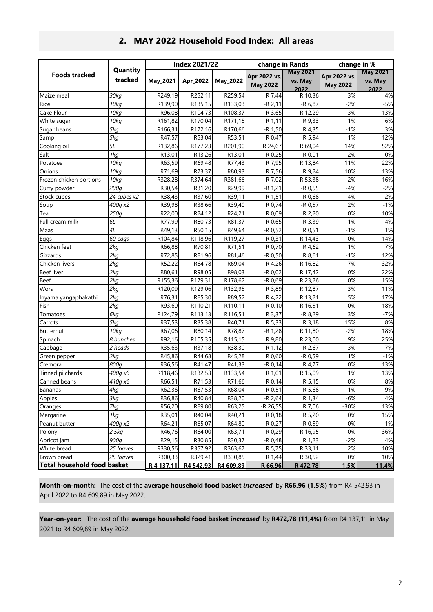|                                    |                     |            | <b>Index 2021/22</b> |                     | change in Rands                 |                                    | change in %                     |                                    |
|------------------------------------|---------------------|------------|----------------------|---------------------|---------------------------------|------------------------------------|---------------------------------|------------------------------------|
| <b>Foods tracked</b>               | Quantity<br>tracked | May_2021   | Apr_2022             | May_2022            | Apr 2022 vs.<br><b>May 2022</b> | <b>May 2021</b><br>vs. May<br>2022 | Apr 2022 vs.<br><b>May 2022</b> | <b>May 2021</b><br>vs. May<br>2022 |
| Maize meal                         | 30kg                | R249,19    | R252,11              | R259,54             | R 7,44                          | R 10,36                            | 3%                              | 4%                                 |
| Rice                               | 10kg                | R139,90    | R135,15              | R133,03             | $-R$ 2,11                       | $-R 6,87$                          | $-2%$                           | $-5%$                              |
| Cake Flour                         | 10kg                | R96,08     | R104,73              | R108,37             | R 3,65                          | R 12,29                            | 3%                              | 13%                                |
| White sugar                        | 10kg                | R161,82    | R170,04              | R <sub>171,15</sub> | R 1,11                          | R 9,33                             | 1%                              | 6%                                 |
| Sugar beans                        | 5kg                 | R166,31    | R172,16              | R170,66             | $-R$ 1,50                       | R 4,35                             | $-1%$                           | 3%                                 |
| Samp                               | 5kg                 | R47,57     | R53,04               | R53,51              | R 0,47                          | R 5,94                             | 1%                              | 12%                                |
| Cooking oil                        | 5L                  | R132,86    | R177,23              | R201,90             | R 24,67                         | R 69,04                            | 14%                             | 52%                                |
| Salt                               | 1kg                 | R13,01     | R13,26               | R13,01              | $-R$ 0,25                       | R 0,01                             | $-2%$                           | 0%                                 |
| Potatoes                           | 10kg                | R63,59     | R69,48               | R77,43              | R 7,95                          | R 13,84                            | 11%                             | 22%                                |
| Onions                             | 70kg                | R71,69     | R73,37               | R80,93              | R 7,56                          | R 9,24                             | 10%                             | 13%                                |
| Frozen chicken portions            | 10kg                | R328,28    | R374,64              | R381,66             | R 7,02                          | R 53,38                            | 2%                              | 16%                                |
| Curry powder                       | 200g                | R30,54     | R31,20               | R29,99              | $-R 1,21$                       | $-R$ 0,55                          | $-4%$                           | $-2%$                              |
| Stock cubes                        | 24 cubes x2         | R38,43     | R37,60               | R39,11              | R 1,51                          | R 0,68                             | 4%                              | 2%                                 |
| Soup                               | 400a x2             | R39,98     | R38,66               | R39,40              | R 0,74                          | $-R$ 0,57                          | 2%                              | $-1%$                              |
| Tea                                | 250g                | R22,00     | R24,12               | R24,21              | R 0,09                          | R 2,20                             | 0%                              | 10%                                |
| Full cream milk                    | 6L                  | R77,99     | R80,73               | R81,37              | R 0,65                          | R 3,39                             | 1%                              | 4%                                 |
| Maas                               | 4L                  | R49,13     | R50,15               | R49,64              | $-R$ 0,52                       | R 0,51                             | $-1%$                           | 1%                                 |
| Eggs                               | 60 eggs             | R104,84    | R118,96              | R119,27             | R 0,31                          | R 14,43                            | 0%                              | 14%                                |
| Chicken feet                       | 2kq                 | R66,88     | R70,81               | R71,51              | R 0,70                          | R 4,62                             | 1%                              | 7%                                 |
| Gizzards                           | 2kq                 | R72,85     | R81,96               | R81,46              | $-R$ 0,50                       | R 8,61                             | $-1%$                           | 12%                                |
| Chicken livers                     | 2kg                 | R52,22     | R64,78               | R69,04              | R 4,26                          | R 16,82                            | 7%                              | 32%                                |
| <b>Beef liver</b>                  | 2kg                 | R80,61     | R98,05               | R98,03              | -R 0,02                         | R 17,42                            | 0%                              | 22%                                |
| <b>Beef</b>                        | 2kq                 | R155,36    | R179,31              | R178,62             | $-R$ 0,69                       | R 23,26                            | 0%                              | 15%                                |
| Wors                               | 2kg                 | R120,09    | R129,06              | R132,95             | R 3,89                          | R 12,87                            | 3%                              | 11%                                |
| Inyama yangaphakathi               | 2kg                 | R76,31     | R85,30               | R89,52              | R 4,22                          | R 13,21                            | 5%                              | 17%                                |
| Fish                               | 2kq                 | R93,60     | R110,21              | R110,11             | $-R$ 0,10                       | R 16,51                            | 0%                              | 18%                                |
| Tomatoes                           | 6kg                 | R124,79    | R113,13              | R116,51             | R 3,37                          | -R 8,29                            | 3%                              | $-7%$                              |
| Carrots                            | 5kg                 | R37,53     | R35,38               | R40,71              | R 5,33                          | R 3,18                             | 15%                             | 8%                                 |
| Butternut                          | 10kg                | R67,06     | R80,14               | R78,87              | $-R$ 1,28                       | R 11,80                            | $-2%$                           | 18%                                |
| Spinach                            | 8 bunches           | R92,16     | R105,35              | R115,15             | R 9,80                          | R 23,00                            | 9%                              | 25%                                |
| Cabbage                            | 2 heads             | R35,63     | R37,18               | R38,30              | R 1,12                          | R 2,67                             | 3%                              | 7%                                 |
| Green pepper                       | 2kq                 | R45,86     | R44,68               | R45,28              | R 0,60                          | $-R$ 0,59                          | 1%                              | $-1%$                              |
| Cremora                            | 800a                | R36,56     | R41,47               | R41,33              | $-R$ 0,14                       | R 4,77                             | 0%                              | 13%                                |
| Tinned pilchards                   | 400g x6             | R118,46    | R132,53              | R133,54             | R 1,01                          | R 15,09                            | 1%                              | 13%                                |
| Canned beans                       | 410g x6             | R66,51     | R71,53               | R71,66              | R 0,14                          | R 5,15                             | 0%                              | 8%                                 |
| <b>Bananas</b>                     | 4kg                 | R62,36     | R67,53               | R68,04              | R 0,51                          | R 5,68                             | 1%                              | 9%                                 |
| Apples                             | 3kg                 | R36,86     | R40,84               | R38,20              | $-R$ 2,64                       | R 1,34                             | $-6%$                           | 4%                                 |
| Oranges                            | 7kg                 | R56,20     | R89,80               | R63,25              | -R 26,55                        | R 7,06                             | $-30%$                          | 13%                                |
| Margarine                          | 1kg                 | R35,01     | R40,04               | R40,21              | R 0,18                          | R 5,20                             | 0%                              | 15%                                |
| Peanut butter                      | 400g x2             | R64,21     | R65,07               | R64,80              | $-R 0,27$                       | R 0,59                             | 0%                              | 1%                                 |
| Polony                             | 2.5kg               | R46,76     | R64,00               | R63,71              | $-R$ 0,29                       | R 16,95                            | 0%                              | 36%                                |
| Apricot jam                        | 900g                | R29,15     | R30,85               | R30,37              | $-R 0,48$                       | R 1,23                             | $-2%$                           | 4%                                 |
| White bread                        | 25 loaves           | R330,56    | R357,92              | R363,67             | R 5,75                          | R 33,11                            | 2%                              | 10%                                |
| Brown bread                        | 25 loaves           | R300,33    | R329,41              | R330,85             | R 1,44                          | R 30,52                            | 0%                              | 10%                                |
| <b>Total household food basket</b> |                     | R 4 137,11 | R4 542,93            | R4 609,89           | R 66,96                         | R 472,78                           | 1,5%                            | 11,4%                              |

#### **2. MAY 2022 Household Food Index: All areas**

**Month-on-month:** The cost of the **average household food basket** *increased* by **R66,96 (1,5%)** from R4 542,93 in April 2022 to R4 609,89 in May 2022.

**Year-on-year:** The cost of the **average household food basket** *increased* by **R472,78 (11,4%)** from R4 137,11 in May 2021 to R4 609,89 in May 2022.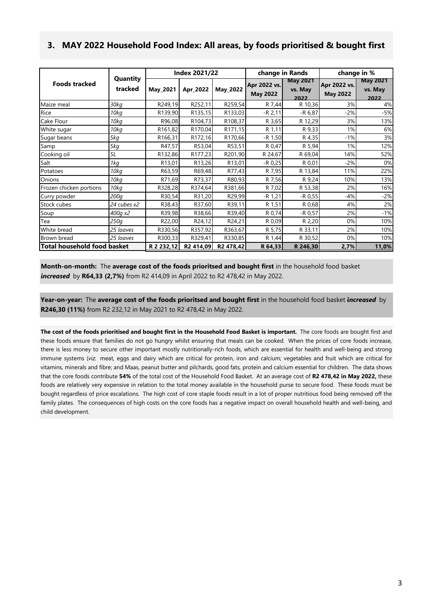#### **3. MAY 2022 Household Food Index: All areas, by foods prioritised & bought first**

|                                    |                     |                      | <b>Index 2021/22</b> |                 | change in Rands                 |                                    | change in %                     |                                    |  |
|------------------------------------|---------------------|----------------------|----------------------|-----------------|---------------------------------|------------------------------------|---------------------------------|------------------------------------|--|
| <b>Foods tracked</b>               | Quantity<br>tracked | <b>May 2021</b>      | Apr_2022             | <b>May 2022</b> | Apr 2022 vs.<br><b>May 2022</b> | <b>May 2021</b><br>vs. May<br>2022 | Apr 2022 vs.<br><b>May 2022</b> | <b>May 2021</b><br>vs. May<br>2022 |  |
| Maize meal                         | 30kg                | R249,19              | R252,11              | R259,54         | R 7,44                          | R 10,36                            | 3%                              | 4%                                 |  |
| Rice                               | 10kg                | R139,90              | R135,15              | R133,03         | $-R$ 2,11                       | $-R 6,87$                          | $-2%$                           | $-5%$                              |  |
| Cake Flour                         | 10kg                | R96,08               | R104,73              | R108,37         | R 3,65                          | R 12,29                            | 3%                              | 13%                                |  |
| White sugar                        | 10kg                | R <sub>161</sub> ,82 | R170,04              | R171,15         | R 1,11                          | R 9,33                             | 1%                              | 6%                                 |  |
| Sugar beans                        | 5kg                 | R166,31              | R172,16              | R170,66         | $-R$ 1,50                       | R 4,35                             | $-1%$                           | 3%                                 |  |
| Samp                               | 5kg                 | R47,57               | R53,04               | R53,51          | R 0,47                          | R 5,94                             | 1%                              | 12%                                |  |
| Cooking oil                        | 5L                  | R132,86              | R177,23              | R201,90         | R 24,67                         | R 69,04                            | 14%                             | 52%                                |  |
| Salt                               | 1kg                 | R13,01               | R13,26               | R13,01          | $-R$ 0,25                       | R 0,01                             | $-2%$                           | 0%                                 |  |
| Potatoes                           | 10kg                | R63,59               | R69,48               | R77,43          | R 7,95                          | R 13,84                            | 11%                             | 22%                                |  |
| Onions                             | 10 <sub>kq</sub>    | R71,69               | R73,37               | R80,93          | R 7,56                          | R 9,24                             | 10%                             | 13%                                |  |
| Frozen chicken portions            | 10 <sub>k</sub> q   | R328,28              | R374,64              | R381,66         | R 7,02                          | R 53,38                            | 2%                              | 16%                                |  |
| Curry powder                       | 200 <sub>a</sub>    | R30,54               | R31,20               | R29,99          | $-R 1,21$                       | $-R$ 0,55                          | $-4%$                           | $-2%$                              |  |
| Stock cubes                        | 24 cubes x2         | R38,43               | R37,60               | R39,11          | R 1,51                          | R 0,68                             | 4%                              | 2%                                 |  |
| Soup                               | 400q x2             | R39,98               | R38,66               | R39,40          | R 0,74                          | $-R$ 0,57                          | 2%                              | $-1%$                              |  |
| Tea                                | 250g                | R22,00               | R24,12               | R24,21          | R 0,09                          | R 2,20                             | 0%                              | 10%                                |  |
| White bread                        | 25 loaves           | R330,56              | R357,92              | R363,67         | R 5,75                          | R 33,11                            | 2%                              | 10%                                |  |
| Brown bread                        | 25 loaves           | R300,33              | R329,41              | R330,85         | R 1,44                          | R 30,52                            | 0%                              | 10%                                |  |
| <b>Total household food basket</b> |                     | R 2 232,12           | R2 414,09            | R2 478,42       | R 64,33                         | R 246,30                           | 2,7%                            | 11,0%                              |  |

**Month-on-month:** The **average cost of the foods prioritsed and bought first** in the household food basket *increased* by **R64,33 (2,7%)** from R2 414,09 in April 2022 to R2 478,42 in May 2022.

**Year-on-year:** The **average cost of the foods prioritsed and bought first** in the household food basket *increased* by **R246,30 (11%)** from R2 232,12 in May 2021 to R2 478,42 in May 2022.

The cost of the foods prioritised and bought first in the Household Food Basket is important. The core foods are bought first and these foods ensure that families do not go hungry whilst ensuring that meals can be cooked. When the prices of core foods increase, there is less money to secure other important mostly nutritionally-rich foods, which are essential for health and well-being and strong immune systems (*viz.* meat, eggs and dairy which are critical for protein, iron and calcium; vegetables and fruit which are critical for vitamins, minerals and fibre; and Maas, peanut butter and pilchards, good fats, protein and calcium essential for children. The data shows that the core foods contribute **54%** of the total cost of the Household Food Basket. At an average cost of **R2 478,42 in May 2022,** these foods are relatively very expensive in relation to the total money available in the household purse to secure food. These foods must be bought regardless of price escalations. The high cost of core staple foods result in a lot of proper nutritious food being removed off the family plates. The consequences of high costs on the core foods has a negative impact on overall household health and well-being, and child development.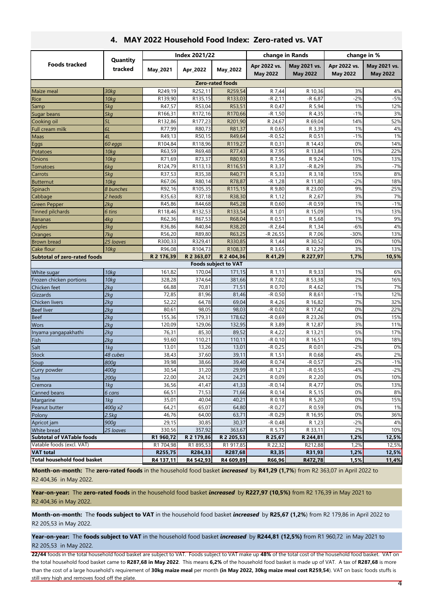|                                     |                     |            | <b>Index 2021/22</b> |                             |                                 | change in Rands                 | change in %                     |                                 |
|-------------------------------------|---------------------|------------|----------------------|-----------------------------|---------------------------------|---------------------------------|---------------------------------|---------------------------------|
| <b>Foods tracked</b>                | Quantity<br>tracked | May_2021   | Apr_2022             | May 2022                    | Apr 2022 vs.<br><b>May 2022</b> | May 2021 vs.<br><b>May 2022</b> | Apr 2022 vs.<br><b>May 2022</b> | May 2021 vs.<br><b>May 2022</b> |
|                                     |                     |            |                      | <b>Zero-rated foods</b>     |                                 |                                 |                                 |                                 |
| Maize meal                          | 30kg                | R249,19    | R252,11              | R259,54                     | R 7,44                          | R 10,36                         | 3%                              | 4%                              |
| Rice                                | 10 <sub>kq</sub>    | R139,90    | R135,15              | R133,03                     | $-R$ 2,11                       | $-R$ 6,87                       | $-2%$                           | $-5%$                           |
| Samp                                | 5kg                 | R47,57     | R53,04               | R53,51                      | R 0,47                          | R 5,94                          | 1%                              | 12%                             |
| Sugar beans                         | 5kg                 | R166,31    | R172,16              | R170,66                     | $-R 1,50$                       | R 4,35                          | $-1%$                           | 3%                              |
| Cooking oil                         | 5L                  | R132,86    | R177,23              | R201,90                     | R 24,67                         | R 69,04                         | 14%                             | 52%                             |
| Full cream milk                     | 6L                  | R77,99     | R80,73               | R81,37                      | R 0,65                          | R 3,39                          | 1%                              | 4%                              |
| Maas                                | 4L                  | R49,13     | R50,15               | R49,64                      | $-R$ 0,52                       | R 0,51                          | $-1%$                           | 1%                              |
| Eggs                                | 60 eggs             | R104,84    | R118,96              | R119,27                     | R 0,31                          | R 14,43                         | 0%                              | 14%                             |
| Potatoes                            | 10kg                | R63,59     | R69,48               | R77,43                      | R 7,95                          | R 13,84                         | 11%                             | 22%                             |
| Onions                              | 10 <sub>kq</sub>    | R71,69     | R73,37               | R80,93                      | R 7,56                          | R 9,24                          | 10%                             | 13%                             |
| <b>Tomatoes</b>                     | 6kg                 | R124,79    | R113,13              | R116,51                     | R 3,37                          | $-R$ 8,29                       | 3%                              | $-7%$                           |
| Carrots                             | 5kg                 | R37,53     | R35,38               | R40,71                      | R 5,33                          | R 3,18                          | 15%                             | 8%                              |
| Butternut                           | 10 <sub>kq</sub>    | R67,06     | R80,14               | R78,87                      | -R 1,28                         | R 11,80                         | $-2%$                           | 18%                             |
| Spinach                             | 8 bunches           | R92,16     | R105,35              | R115,15                     | R 9,80                          | R 23,00                         | 9%                              | 25%                             |
| Cabbage                             | 2 heads             | R35,63     | R37,18               | R38,30                      | R 1,12                          | R 2,67                          | 3%                              | 7%                              |
| <b>Green Pepper</b>                 | 2kq                 | R45,86     | R44,68               | R45,28                      | R 0,60                          | $-R$ 0,59                       | 1%                              | $-1%$                           |
| <b>Tinned pilchards</b>             | 6 tins              | R118,46    | R132,53              | R133,54                     | R 1,01                          | R 15,09                         | 1%                              | 13%                             |
| <b>Bananas</b>                      | 4kg                 | R62,36     | R67,53               | R68,04                      | R 0,51                          | R 5,68                          | 1%                              | 9%                              |
| <b>Apples</b>                       | 3kg                 | R36,86     | R40,84               | R38,20                      | $-R$ 2,64                       | R 1,34                          | $-6%$                           | 4%                              |
| Oranges                             | 7kg                 | R56,20     | R89,80               | R63,25                      | -R 26,55                        | R 7,06                          | $-30%$                          | 13%                             |
| <b>Brown bread</b>                  | 25 loaves           | R300,33    | R329,41              | R330,85                     | R 1,44                          | R 30,52                         | 0%                              | 10%                             |
| Cake flour                          | 10 <sub>k</sub> q   | R96,08     | R104,73              | R108,37                     | R 3,65                          | R 12,29                         | 3%                              | 13%                             |
| <b>Subtotal of zero-rated foods</b> |                     | R 2 176,39 | R 2 363,07           | R 2 404,36                  | R 41,29                         | R 227,97                        | 1,7%                            | 10,5%                           |
|                                     |                     |            |                      | <b>Foods subject to VAT</b> |                                 |                                 |                                 |                                 |
| White sugar                         | 10 <sub>kq</sub>    | 161,82     | 170,04               | 171,15                      | R 1,11                          | R 9,33                          | 1%                              | 6%                              |
| Frozen chicken portions             | 10 <sub>k</sub> q   | 328,28     | 374,64               | 381,66                      | R 7,02                          | R 53,38                         | 2%                              | 16%                             |
| Chicken feet                        | 2kq                 | 66,88      | 70,81                | 71,51                       | R 0,70                          | R 4,62                          | 1%                              | 7%                              |
| Gizzards                            | 2kg                 | 72,85      | 81,96                | 81,46                       | -R 0,50                         | R 8,61                          | $-1%$                           | 12%                             |
| Chicken livers                      | 2kg                 | 52,22      | 64,78                | 69,04                       | R 4,26                          | R 16,82                         | 7%                              | 32%                             |
| <b>Beef liver</b>                   | 2kq                 | 80,61      | 98,05                | 98,03                       | $-R 0,02$                       | R 17,42                         | 0%                              | 22%                             |
| <b>Beef</b>                         | 2kq                 | 155,36     | 179,31               | 178,62                      | $-R$ 0,69                       | R 23,26                         | 0%                              | 15%                             |
| <b>Wors</b>                         | 2kq                 | 120,09     | 129,06               | 132,95                      | R 3,89                          | R 12,87                         | 3%                              | 11%                             |
| Inyama yangapakhathi                | 2kq                 | 76,31      | 85,30                | 89,52                       | R 4,22                          | R 13,21                         | 5%                              | 17%                             |
| Fish                                | 2kq                 | 93,60      | 110,21               | 110,11                      | $-R$ 0,10                       | R 16,51                         | 0%                              | 18%                             |
| Salt                                | 1kg                 | 13,01      | 13,26                | 13,01                       | $-R$ 0,25                       | R 0,01                          | $-2%$                           | 0%                              |
| Stock                               | 48 cubes            | 38,43      | 37,60                | 39,11                       | R 1,51                          | R 0,68                          | 4%                              | 2%                              |
| Soup                                | 800 <sub>a</sub>    | 39,98      | 38,66                | 39,40                       | R 0,74                          | $-R$ 0,57                       | 2%                              | $-1%$                           |
| Curry powder                        | 400g                | 30,54      | 31,20                | 29,99                       | $-R 1,21$                       | $-R$ 0,55                       | $-4%$                           | $-2%$                           |
| Tea                                 | 200q                | 22,00      | 24,12                | 24,21                       | R 0,09                          | R 2,20                          | 0%                              | 10%                             |
| Cremora                             | 1kg                 | 36,56      | 41,47                | 41,33                       | $-R$ 0,14                       | R 4,77                          | 0%                              | 13%                             |
| Canned beans                        | 6 cans              | 66,51      | 71,53                | 71,66                       | R 0,14                          | R 5,15                          | 0%                              | 8%                              |
| Margarine                           | 1kg                 | 35,01      | 40,04                | 40,21                       | R 0,18                          | R 5,20                          | 0%                              | 15%                             |
| Peanut butter                       | 400g x2             | 64,21      | 65,07                | 64,80                       | $-R 0,27$                       | R 0,59                          | 0%                              | 1%                              |
| Polony                              | 2.5kg               | 46,76      | 64,00                | 63,71                       | $-R$ 0,29                       | R 16,95                         | 0%                              | 36%                             |
| Apricot jam                         | 900g                | 29,15      | 30,85                | 30,37                       | $-R 0,48$                       | R 1,23                          | $-2%$                           | 4%                              |
| White bread                         | 25 loaves           | 330,56     | 357,92               | 363,67                      | R 5,75                          | R 33,11                         | 2%                              | 10%                             |
| <b>Subtotal of VATable foods</b>    |                     | R1 960,72  | R 2 179,86           | R 2 205,53                  | R 25,67                         | R 244,81                        | 1,2%                            | 12,5%                           |
| Vatable foods (excl. VAT)           |                     | R1 704,98  | R1 895,53            | R1 917,85                   | R 22,32                         | R212,88                         | 1,2%                            | 12,5%                           |
| <b>VAT</b> total                    |                     | R255,75    | R284,33              | R287,68                     | R3,35                           | R31,93                          | 1,2%                            | 12,5%                           |
| <b>Total household food basket</b>  |                     | R4 137,11  | R4 542,93            | R4 609,89                   | R66,96                          | R472,78                         | 1,5%                            | 11,4%                           |

#### **4. MAY 2022 Household Food Index: Zero-rated vs. VAT**

**Month-on-month:** The **zero-rated foods** in the household food basket *increased* by **R41,29 (1,7%**) from R2 363,07 in April 2022 to R2 404,36 in May 2022.

**Year-on-year:** The **zero-rated foods** in the household food basket *increased* by **R227,97 (10,5%)** from R2 176,39 in May 2021 to R2 404,36 in May 2022.

**Month-on-month:** The **foods subject to VAT** in the household food basket *increased* by **R25,67 (1,2%**) from R2 179,86 in April 2022 to R2 205,53 in May 2022.

**Year-on-year:** The **foods subject to VAT** in the household food basket *increased* by **R244,81 (12,5%)** from R1 960,72 in May 2021 to R2 205,53 in May 2022.

**22/44** foods in the total household food basket are subject to VAT. Foods subject to VAT make up **48%** of the total cost of the household food basket. VAT on the total household food basket came to **R287,68 in May 2022**. This means **6,2%** of the household food basket is made up of VAT. A tax of **R287,68** is more than the cost of a large household's requirement of **30kg maize meal** per month **(in May 2022, 30kg maize meal cost R259,54**). VAT on basic foods stuffs is still very high and removes food off the plate.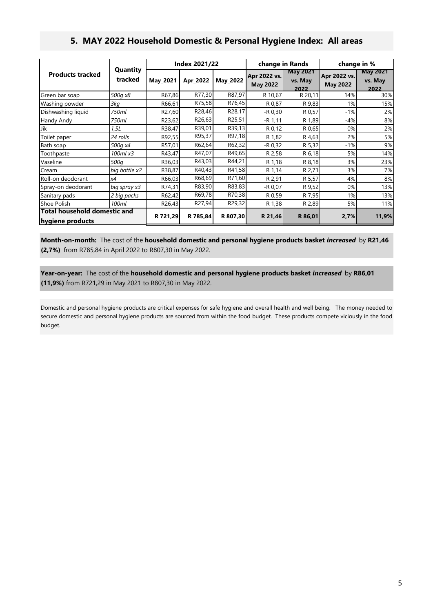## **5. MAY 2022 Household Domestic & Personal Hygiene Index: All areas**

|                                                  |                     |          | <b>Index 2021/22</b> |          | change in Rands                 |                                    |                                 | change in %                        |  |
|--------------------------------------------------|---------------------|----------|----------------------|----------|---------------------------------|------------------------------------|---------------------------------|------------------------------------|--|
| <b>Products tracked</b>                          | Quantity<br>tracked | May 2021 | Apr 2022             | May_2022 | Apr 2022 vs.<br><b>May 2022</b> | <b>May 2021</b><br>vs. May<br>2022 | Apr 2022 vs.<br><b>May 2022</b> | <b>May 2021</b><br>vs. May<br>2022 |  |
| Green bar soap                                   | 500g x8             | R67,86   | R77,30               | R87,97   | R 10,67                         | R 20,11                            | 14%                             | 30%                                |  |
| Washing powder                                   | 3kg                 | R66,61   | R75,58               | R76,45   | R 0,87                          | R 9,83                             | 1%                              | 15%                                |  |
| Dishwashing liquid                               | 750ml               | R27,60   | R28,46               | R28,17   | $-R$ 0,30                       | R 0,57                             | $-1%$                           | 2%                                 |  |
| Handy Andy                                       | 750ml               | R23,62   | R26,63               | R25,51   | $-R$ 1,11                       | R 1,89                             | $-4%$                           | 8%                                 |  |
| Jik                                              | 1,5L                | R38,47   | R39,01               | R39,13   | R 0,12                          | R 0,65                             | 0%                              | 2%                                 |  |
| Toilet paper                                     | 24 rolls            | R92,55   | R95,37               | R97,18   | R 1,82                          | R 4,63                             | 2%                              | 5%                                 |  |
| Bath soap                                        | 500g x4             | R57,01   | R62,64               | R62,32   | $-R 0,32$                       | R 5,32                             | $-1%$                           | 9%                                 |  |
| Toothpaste                                       | 100ml x3            | R43,47   | R47,07               | R49,65   | R 2,58                          | R 6,18                             | 5%                              | 14%                                |  |
| Vaseline                                         | 500a                | R36,03   | R43,03               | R44,21   | R 1,18                          | R 8,18                             | 3%                              | 23%                                |  |
| Cream                                            | big bottle x2       | R38,87   | R40,43               | R41,58   | R 1,14                          | R 2,71                             | 3%                              | 7%                                 |  |
| Roll-on deodorant                                | х4                  | R66,03   | R68,69               | R71,60   | R 2,91                          | R 5,57                             | 4%                              | 8%                                 |  |
| Spray-on deodorant                               | big spray x3        | R74,31   | R83,90               | R83,83   | $-R$ 0,07                       | R 9,52                             | 0%                              | 13%                                |  |
| Sanitary pads                                    | 2 big packs         | R62,42   | R69,78               | R70,38   | R 0,59                          | R 7,95                             | 1%                              | 13%                                |  |
| Shoe Polish                                      | 100ml               | R26,43   | R27,94               | R29,32   | R 1,38                          | R 2,89                             | 5%                              | 11%                                |  |
| Total household domestic and<br>hygiene products |                     | R 721,29 | R 785,84             | R 807,30 | R 21,46                         | R 86,01                            | 2,7%                            | 11,9%                              |  |

**Month-on-month:** The cost of the **household domestic and personal hygiene products basket** *increased* by **R21,46 (2,7%)** from R785,84 in April 2022 to R807,30 in May 2022.

**Year-on-year:** The cost of the **household domestic and personal hygiene products basket** *increased* by **R86,01 (11,9%)** from R721,29 in May 2021 to R807,30 in May 2022.

Domestic and personal hygiene products are critical expenses for safe hygiene and overall health and well being. The money needed to secure domestic and personal hygiene products are sourced from within the food budget. These products compete viciously in the food budget.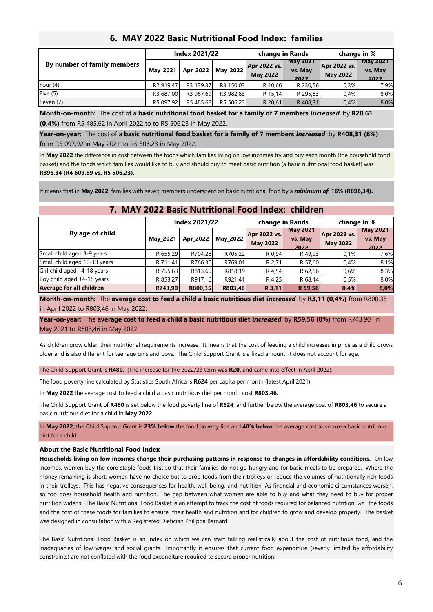|                             | Index 2021/22 |           |           | change in Rands                 |                                    | change in %                     |                                    |
|-----------------------------|---------------|-----------|-----------|---------------------------------|------------------------------------|---------------------------------|------------------------------------|
| By number of family members | May 2021      | Apr_2022  | May 2022  | Apr 2022 vs.<br><b>May 2022</b> | <b>May 2021</b><br>vs. May<br>2022 | Apr 2022 vs.<br><b>May 2022</b> | <b>May 2021</b><br>vs. May<br>2022 |
| Four $(4)$                  | R2 919.47     | R3 139,37 | R3 150.03 | R 10,66                         | R 230,56                           | 0.3%                            | 7.9%                               |
| Five $(5)$                  | R3 687,00     | R3 967.69 | R3 982.83 | R 15,14                         | R 295,83                           | 0.4%                            | 8,0%                               |
| Seven (7)                   | R5 097,92     | R5 485,62 | R5 506,23 | R 20,61                         | R 408,31                           | 0.4%                            | 8,0%                               |

#### **6. MAY 2022 Basic Nutritional Food Index: families**

**Month-on-month:** The cost of a **basic nutritional food basket for a family of 7 members** *increased* by **R20,61 (0,4%)** from R5 485,62 in April 2022 to to R5 506,23 in May 2022.

**Year-on-year:** The cost of a **basic nutritional food basket for a family of 7 members** *increased* by **R408,31 (8%)**  from R5 097,92 in May 2021 to R5 506,23 in May 2022.

In **May 2022** the difference in cost between the foods which families living on low incomes try and buy each month (the household food basket) and the foods which families would like to buy and should buy to meet basic nutrition (a basic nutritional food basket) was **R896,34 (R4 609,89 vs. R5 506,23).**

It means that in **May 2022**, families with seven members underspent on basic nutritional food by a *minimum of* **16% (R896,34).**

## **7. MAY 2022 Basic Nutritional Food Index: children**

|                              |          | <b>Index 2021/22</b> |                 |                                 | change in Rands                    | change in %                     |                                    |
|------------------------------|----------|----------------------|-----------------|---------------------------------|------------------------------------|---------------------------------|------------------------------------|
| By age of child              | May 2021 | Apr 2022             | <b>May 2022</b> | Apr 2022 vs.<br><b>May 2022</b> | <b>May 2021</b><br>vs. May<br>2022 | Apr 2022 vs.<br><b>May 2022</b> | <b>May 2021</b><br>vs. May<br>2022 |
| Small child aged 3-9 years   | R 655,29 | R704,28              | R705,22         | R 0,94                          | R49.93                             | 0,1%                            | 7,6%                               |
| Small child aged 10-13 years | R 711,41 | R766,30              | R769,01         | R 2.71                          | R 57,60                            | 0.4%                            | 8,1%                               |
| Girl child aged 14-18 years  | R 755,63 | R813,65              | R818,19         | R 4,54                          | R 62,56                            | 0.6%                            | 8,3%                               |
| Boy child aged 14-18 years   | R 853,27 | R917,16              | R921.41         | R 4,25                          | R 68,14                            | 0,5%                            | 8,0%                               |
| Average for all children     | R743,90  | R800,35              | R803,46         | R 3,11                          | R 59,56                            | 0,4%                            | 8,0%                               |

**Month-on-month:** The **average cost to feed a child a basic nutritious diet** *increased* by **R3,11 (0,4%)** from R800,35 in April 2022 to R803,46 in May 2022.

**Year-on-year:** The **average cost to feed a child a basic nutritious diet** *increased* by **R59,56 (8%)** from R743,90 in May 2021 to R803,46 in May 2022.

As children grow older, their nutritional requirements increase. It means that the cost of feeding a child increases in price as a child grows older and is also different for teenage girls and boys. The Child Support Grant is a fixed amount: it does not account for age.

The Child Support Grant is **R480**. (The increase for the 2022/23 term was **R20,** and came into effect in April 2022).

The food poverty line calculated by Statistics South Africa is **R624** per capita per month (latest April 2021).

In **May 2022** the average cost to feed a child a basic nutritious diet per month cost **R803,46.**

The Child Support Grant of **R480** is set below the food poverty line of **R624**, and further below the average cost of **R803,46** to secure a basic nutritious diet for a child in **May 2022.**

In **May 2022**, the Child Support Grant is **23% below** the food poverty line and **40% below** the average cost to secure a basic nutritious diet for a child.

#### **About the Basic Nutritional Food Index**

Households living on low incomes change their purchasing patterns in response to changes in affordability conditions. On low incomes, women buy the core staple foods first so that their families do not go hungry and for basic meals to be prepared. Where the money remaining is short, women have no choice but to drop foods from their trolleys or reduce the volumes of nutritionally rich foods in their trolleys. This has negative consequences for health, well-being, and nutrition. As financial and economic circumstances worsen, so too does household health and nutrition. The gap between what women are able to buy and what they need to buy for proper nutrition widens. The Basic Nutritional Food Basket is an attempt to track the cost of foods required for balanced nutrition, *viz* . the foods and the cost of these foods for families to ensure their health and nutrition and for children to grow and develop properly. The basket was designed in consultation with a Registered Dietician Philippa Barnard.

The Basic Nutritional Food Basket is an index on which we can start talking realistically about the cost of nutritious food, and the inadequacies of low wages and social grants. Importantly it ensures that current food expenditure (severly limited by affordability constraints) are not conflated with the food expenditure required to secure proper nutrition.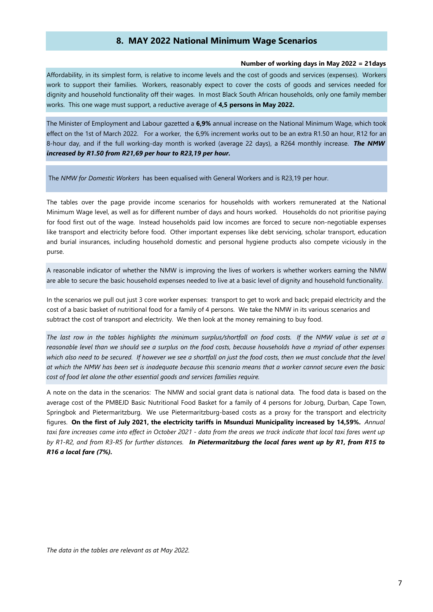#### **8. MAY 2022 National Minimum Wage Scenarios**

#### **Number of working days in May 2022 = 21days**

Affordability, in its simplest form, is relative to income levels and the cost of goods and services (expenses). Workers work to support their families. Workers, reasonably expect to cover the costs of goods and services needed for dignity and household functionality off their wages. In most Black South African households, only one family member works. This one wage must support, a reductive average of **4,5 persons in May 2022.** 

The Minister of Employment and Labour gazetted a **6,9%** annual increase on the National Minimum Wage, which took effect on the 1st of March 2022. For a worker*,* the 6,9% increment works out to be an extra R1.50 an hour, R12 for an 8-hour day, and if the full working-day month is worked (average 22 days), a R264 monthly increase. *The NMW increased by R1.50 from R21,69 per hour to R23,19 per hour.* 

The *NMW for Domestic Workers* has been equalised with General Workers and is R23,19 per hour.

The tables over the page provide income scenarios for households with workers remunerated at the National Minimum Wage level, as well as for different number of days and hours worked. Households do not prioritise paying for food first out of the wage. Instead households paid low incomes are forced to secure non-negotiable expenses like transport and electricity before food. Other important expenses like debt servicing, scholar transport, education and burial insurances, including household domestic and personal hygiene products also compete viciously in the purse.

A reasonable indicator of whether the NMW is improving the lives of workers is whether workers earning the NMW are able to secure the basic household expenses needed to live at a basic level of dignity and household functionality.

In the scenarios we pull out just 3 core worker expenses: transport to get to work and back; prepaid electricity and the cost of a basic basket of nutritional food for a family of 4 persons. We take the NMW in its various scenarios and subtract the cost of transport and electricity. We then look at the money remaining to buy food.

The last row in the tables highlights the minimum surplus/shortfall on food costs. If the NMW value is set at a reasonable level than we should see a surplus on the food costs, because households have a myriad of other expenses which also need to be secured. If however we see a shortfall on just the food costs, then we must conclude that the level at which the NMW has been set is inadequate because this scenario means that a worker cannot secure even the basic *cost of food let alone the other essential goods and services families require.* 

A note on the data in the scenarios: The NMW and social grant data is national data. The food data is based on the average cost of the PMBEJD Basic Nutritional Food Basket for a family of 4 persons for Joburg, Durban, Cape Town, Springbok and Pietermaritzburg. We use Pietermaritzburg-based costs as a proxy for the transport and electricity figures. On the first of July 2021, the electricity tariffs in Msunduzi Municipality increased by 14,59%. Annual taxi fare increases came into effect in October 2021 - data from the areas we track indicate that local taxi fares went up by R1-R2, and from R3-R5 for further distances. In Pietermaritzburg the local fares went up by R1, from R15 to *R16 a local fare (7%).*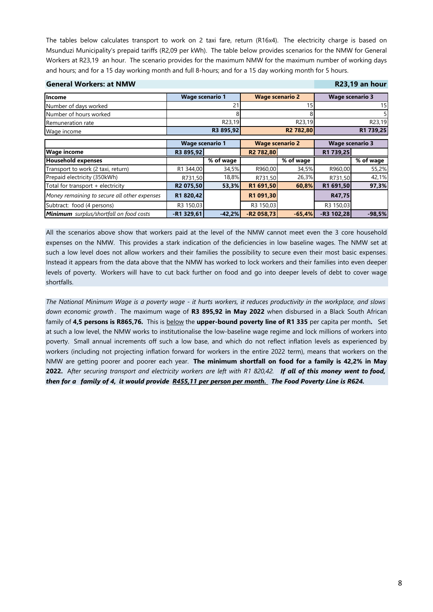The tables below calculates transport to work on 2 taxi fare, return (R16x4). The electricity charge is based on Msunduzi Municipality's prepaid tariffs (R2,09 per kWh). The table below provides scenarios for the NMW for General Workers at R23,19 an hour. The scenario provides for the maximum NMW for the maximum number of working days and hours; and for a 15 day working month and full 8-hours; and for a 15 day working month for 5 hours.

| <b>General Workers: at NMW</b>                 |                                                  |             |             |                        |                        | R23,19 an hour |
|------------------------------------------------|--------------------------------------------------|-------------|-------------|------------------------|------------------------|----------------|
| <b>Income</b>                                  | <b>Wage scenario 1</b>                           |             |             | <b>Wage scenario 2</b> | <b>Wage scenario 3</b> |                |
| Number of days worked                          |                                                  |             |             | 15                     |                        | 15             |
| Number of hours worked                         |                                                  | 8           |             |                        |                        |                |
| Remuneration rate                              |                                                  | R23,19      |             | R23,19                 |                        | R23,19         |
| Wage income                                    |                                                  | R3 895,92   |             | R <sub>2</sub> 782,80  |                        | R1 739,25      |
|                                                | <b>Wage scenario 2</b><br><b>Wage scenario 1</b> |             |             | <b>Wage scenario 3</b> |                        |                |
| <b>Wage income</b>                             | R3 895,92                                        |             | R2 782,80   |                        | R1 739,25              |                |
| <b>Household expenses</b>                      |                                                  | $%$ of wage |             | % of wage              |                        | $%$ of wage    |
| Transport to work (2 taxi, return)             | R1 344,00                                        | 34,5%       | R960,00     | 34,5%                  | R960,00                | 55,2%          |
| Prepaid electricity (350kWh)                   | R731,50                                          | 18,8%       | R731.50     | 26,3%                  | R731,50                | 42,1%          |
| Total for transport + electricity              | R2 075,50                                        | 53,3%       | R1 691,50   | 60,8%                  | R1 691,50              | 97,3%          |
| Money remaining to secure all other expenses   | R1 820,42                                        |             | R1 091,30   |                        | R47,75                 |                |
| Subtract: food (4 persons)                     | R3 150,03                                        |             | R3 150,03   |                        | R3 150,03              |                |
| <b>Minimum</b> surplus/shortfall on food costs | $-R1$ 329,61                                     | $-42,2%$    | $-R2058,73$ | $-65,4%$               | $-R3 102,28$           | $-98,5%$       |

All the scenarios above show that workers paid at the level of the NMW cannot meet even the 3 core household expenses on the NMW. This provides a stark indication of the deficiencies in low baseline wages. The NMW set at such a low level does not allow workers and their families the possibility to secure even their most basic expenses. Instead it appears from the data above that the NMW has worked to lock workers and their families into even deeper levels of poverty. Workers will have to cut back further on food and go into deeper levels of debt to cover wage shortfalls.

The National Minimum Wage is a poverty wage - it hurts workers, it reduces productivity in the workplace, and slows *down economic growth* . The maximum wage of **R3 895,92 in May 2022** when disbursed in a Black South African family of **4,5 persons is R865,76.** This is below the **upper-bound poverty line of R1 335** per capita per month**.** Set at such a low level, the NMW works to institutionalise the low-baseline wage regime and lock millions of workers into poverty. Small annual increments off such a low base, and which do not reflect inflation levels as experienced by workers (including not projecting inflation forward for workers in the entire 2022 term), means that workers on the NMW are getting poorer and poorer each year. **The minimum shortfall on food for a family is 42,2% in May** 2022. After securing transport and electricity workers are left with R1 820,42. If all of this money went to food, *then for a family of 4, it would provide R455,11 per person per month. The Food Poverty Line is R624.*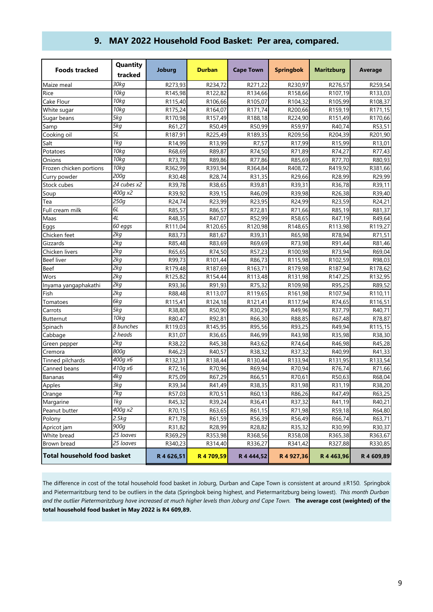|  |  | 9. MAY 2022 Household Food Basket: Per area, compared. |  |  |
|--|--|--------------------------------------------------------|--|--|
|--|--|--------------------------------------------------------|--|--|

| <b>Foods tracked</b>               | Quantity<br>tracked   | Joburg     | <b>Durban</b> | <b>Cape Town</b>    | <b>Springbok</b> | <b>Maritzburg</b> | Average    |
|------------------------------------|-----------------------|------------|---------------|---------------------|------------------|-------------------|------------|
| Maize meal                         | $\overline{3}$ 0 $kg$ | R273,93    | R234,72       | R271,22             | R230,97          | R276,57           | R259,54    |
| Rice                               | 10kg                  | R145,98    | R122,82       | R134,66             | R158,66          | R107,19           | R133,03    |
| Cake Flour                         | 10kg                  | R115,40    | R106,66       | R105,07             | R104,32          | R105,99           | R108,37    |
| White sugar                        | 70kg                  | R175,24    | R164,07       | R171,74             | R200,66          | R159,19           | R171,15    |
| Sugar beans                        | 5kg                   | R170,98    | R157,49       | R188,18             | R224,90          | R151,49           | R170,66    |
| Samp                               | 5kg                   | R61,27     | R50,49        | R50,99              | R59,97           | R40,74            | R53,51     |
| Cooking oil                        | 5L                    | R187,91    | R225,49       | R189,35             | R209,56          | R204,39           | R201,90    |
| Salt                               | 1kg                   | R14,99     | R13,99        | R7,57               | R17,99           | R15,99            | R13,01     |
| Potatoes                           | 10kg                  | R68,69     | R89,87        | R74,50              | R71,89           | R74,27            | R77,43     |
| Onions                             | 10kg                  | R73,78     | R89,86        | R77,86              | R85,69           | R77,70            | R80,93     |
| Frozen chicken portions            | 10kg                  | R362,99    | R393,94       | R364,84             | R408,72          | R419,92           | R381,66    |
| Curry powder                       | 200 <sub>a</sub>      | R30,48     | R28,74        | R31,35              | R29,66           | R28,99            | R29,99     |
| Stock cubes                        | 24 cubes x2           | R39,78     | R38,65        | R39,81              | R39,31           | R36,78            | R39,11     |
| Soup                               | 400g x2               | R39,92     | R39,15        | R46,09              | R39,98           | R26,38            | R39,40     |
| Tea                                | 250g                  | R24,74     | R23,99        | R23,95              | R24,99           | R23,59            | R24,21     |
| Full cream milk                    | 6L                    | R85,57     | R86,57        | R72,81              | R71,66           | R85,19            | R81,37     |
| Maas                               | 4L                    | R48,35     | R47,07        | R52,99              | R58,65           | R47,19            | R49,64     |
| Eggs                               | 60 eggs               | R111,04    | R120,65       | R120,98             | R148,65          | R113,98           | R119,27    |
| Chicken feet                       | 2kg                   | R83,73     | R81,67        | R39,31              | R65,98           | R78,94            | R71,51     |
| Gizzards                           | 2kg                   | R85,48     | R83,69        | R69,69              | R73,98           | R91,44            | R81,46     |
| Chicken livers                     | 2kg                   | R65,65     | R74,50        | R57,23              | R100,98          | R73,94            | R69,04     |
| <b>Beef liver</b>                  | 2kg                   | R99,73     | R101.44       | R86,73              | R115,98          | R102,59           | R98,03     |
| Beef                               | 2kg                   | R179,48    | R187,69       | R163,71             | R179,98          | R187,94           | R178,62    |
| Wors                               | 2kg                   | R125,82    | R154,44       | R113,48             | R131,98          | R147,25           | R132,95    |
| Inyama yangaphakathi               | 2kg                   | R93,36     | R91,93        | R75,32              | R109,98          | R95,25            | R89,52     |
| Fish                               | 2kg                   | R88,48     | R113,07       | R119,65             | R161,98          | R107,94           | R110,11    |
| Tomatoes                           | 6kg                   | R115,41    | R124,18       | R121,41             | R117,94          | R74,65            | R116,51    |
| Carrots                            | 5kg                   | R38,80     | R50,90        | R <sub>30</sub> ,29 | R49,96           | R37,79            | R40,71     |
| <b>Butternut</b>                   | 10kg                  | R80,47     | R92,81        | R66,30              | R88,85           | R67,48            | R78,87     |
| Spinach                            | 8 bunches             | R119,03    | R145,95       | R95,56              | R93,25           | R49,94            | R115,15    |
| Cabbage                            | $\overline{2}$ heads  | R31,07     | R36,65        | R46,99              | R43,98           | R35,98            | R38,30     |
| Green pepper                       | 2kq                   | R38,22     | R45,38        | R43,62              | R74,64           | R46,98            | R45,28     |
| Cremora                            | 800g                  | R46,23     | R40,57        | R38,32              | R37,32           | R40,99            | R41,33     |
| Tinned pilchards                   | 400g x6               | R132,31    | R138,44       | R130,44             | R133,94          | R131,95           | R133,54    |
| Canned beans                       | 410g x6               | R72,16     | R70,96        | R69,94              | R70,94           | R76,74            | R71,66     |
| Bananas                            | 4kg                   | R75,09     | R67,29        | R66,51              | R70,61           | R50,63            | R68,04     |
| Apples                             | Зkg                   | R39,34     | R41,49        | R38,35              | R31,98           | R31,19            | R38,20     |
| Orange                             | 7kg                   | R57,03     | R70,51        | R60,13              | R86,26           | R47,49            | R63,25     |
| Margarine                          | 1kg                   | R45,32     | R39,24        | R36,41              | R37,32           | R41,19            | R40,21     |
| Peanut butter                      | 400g x2               | R70,15     | R63,65        | R61,15              | R71,98           | R59,18            | R64,80     |
| Polony                             | 2.5kg                 | R71,78     | R61,59        | R56,39              | R56,49           | R66,74            | R63,71     |
| Apricot jam                        | 900 <sub>a</sub>      | R31,82     | R28,99        | R28,82              | R35,32           | R30,99            | R30,37     |
| White bread                        | 25 loaves             | R369,29    | R353,98       | R368,56             | R358,08          | R365,38           | R363,67    |
| Brown bread                        | 25 loaves             | R340,23    | R314,40       | R336,27             | R341,42          | R327,88           | R330,85    |
| <b>Total household food basket</b> |                       | R 4 626,51 | R 4 709,59    | R 4 444,52          | R 4 927,36       | R 4 463,96        | R 4 609,89 |

The difference in cost of the total household food basket in Joburg, Durban and Cape Town is consistent at around ±R150. Springbok and Pietermaritzburg tend to be outliers in the data (Springbok being highest, and Pietermaritzburg being lowest). *This month Durban* and the outlier Pietermaritzburg have increased at much higher levels than Joburg and Cape Town. The average cost (weighted) of the **total household food basket in May 2022 is R4 609,89.**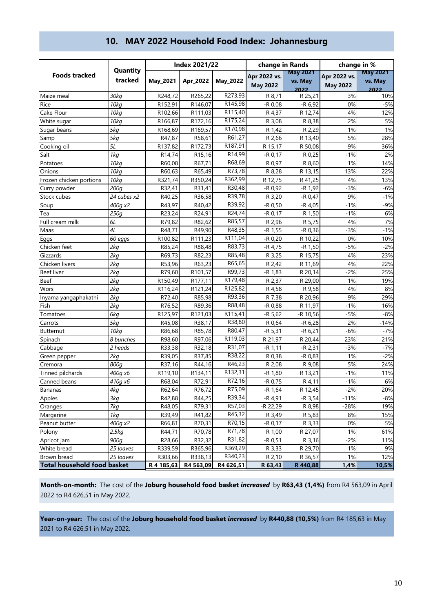|                                    |                     |            | <b>Index 2021/22</b> |                     | change in Rands                 |                            | change in %                     |                            |  |
|------------------------------------|---------------------|------------|----------------------|---------------------|---------------------------------|----------------------------|---------------------------------|----------------------------|--|
| <b>Foods tracked</b>               | Quantity<br>tracked | May_2021   | Apr 2022             | May_2022            | Apr 2022 vs.<br><b>May 2022</b> | <b>May 2021</b><br>vs. May | Apr 2022 vs.<br><b>May 2022</b> | <b>May 2021</b><br>vs. May |  |
|                                    |                     |            |                      |                     |                                 | 2022                       |                                 | 2022                       |  |
| Maize meal                         | 30kg                | R248,72    | R265,22              | R273,93             | R 8,71                          | R 25,21                    | 3%                              | 10%                        |  |
| Rice                               | 10kg                | R152,91    | R146,07              | R145,98             | $-R$ 0,08                       | $-R$ 6,92                  | 0%                              | $-5%$                      |  |
| Cake Flour                         | 10kg                | R102,66    | R111,03              | R115,40             | R 4,37                          | R 12,74                    | 4%                              | 12%                        |  |
| White sugar                        | 10kg                | R166,87    | R172,16              | R175,24             | R 3,08                          | R 8,38                     | 2%                              | 5%                         |  |
| Sugar beans                        | 5kg                 | R168,69    | R169,57              | R170,98             | R 1,42                          | R 2,29                     | 1%                              | 1%                         |  |
| Samp                               | 5kg                 | R47,87     | R58,61               | R61,27              | R 2,66                          | R 13,40                    | 5%                              | 28%                        |  |
| Cooking oil                        | 5L                  | R137,82    | R172,73              | R <sub>187,91</sub> | R 15,17                         | R 50,08                    | 9%                              | 36%                        |  |
| Salt                               | 1kq                 | R14,74     | R15,16               | R14,99              | $-R$ 0,17                       | R 0,25                     | $-1%$                           | 2%                         |  |
| Potatoes                           | 10kg                | R60,08     | R67,71               | R68,69              | R 0.97                          | R 8,60                     | 1%                              | 14%                        |  |
| Onions                             | 10kg                | R60,63     | R65,49               | R73,78              | R 8,28                          | R 13,15                    | 13%                             | 22%                        |  |
| Frozen chicken portions            | 10kg                | R321,74    | R350,24              | R362,99             | R 12,75                         | R 41,25                    | 4%                              | 13%                        |  |
| Curry powder                       | 200g                | R32,41     | R31,41               | R30,48              | -R 0,92                         | $-R$ 1,92                  | $-3%$                           | $-6%$                      |  |
| Stock cubes                        | 24 cubes x2         | R40,25     | R36,58               | R39,78              | R 3,20                          | $-R 0,47$                  | 9%                              | $-1%$                      |  |
| Soup                               | 400g x2             | R43,97     | R40,42               | R39,92              | -R 0,50                         | -R 4,05                    | $-1%$                           | $-9%$                      |  |
| Tea                                | 250g                | R23,24     | R24,91               | R24,74              | $-R 0,17$                       | R 1,50                     | $-1%$                           | 6%                         |  |
| Full cream milk                    | 6L                  | R79,82     | R82,62               | R85,57              | R 2,96                          | R 5,75                     | 4%                              | 7%                         |  |
| Maas                               | 4L                  | R48,71     | R49,90               | R48,35              | -R 1,55                         | $-R$ 0,36                  | $-3%$                           | $-1%$                      |  |
| Eggs                               | 60 eggs             | R100,82    | R111,23              | R111,04             | $-R 0,20$                       | R 10,22                    | 0%                              | 10%                        |  |
| Chicken feet                       | 2kq                 | R85,24     | R88,48               | R83,73              | -R 4,75                         | $-R$ 1,50                  | $-5%$                           | $-2%$                      |  |
| Gizzards                           | 2kq                 | R69,73     | R82,23               | R85,48              | R 3,25                          | R 15,75                    | 4%                              | 23%                        |  |
| Chicken livers                     | 2kq                 | R53,96     | R63,23               | R65,65              | R 2,42                          | R 11,69                    | 4%                              | 22%                        |  |
| <b>Beef liver</b>                  | 2kq                 | R79,60     | R101,57              | R99,73              | -R 1,83                         | R 20,14                    | $-2%$                           | 25%                        |  |
| Beef                               | 2kq                 | R150,49    | R177,11              | R179,48             | R 2,37                          | R 29,00                    | 1%                              | 19%                        |  |
| Wors                               | 2kq                 | R116,24    | R121,24              | R125,82             | R 4,58                          | R 9,58                     | 4%                              | 8%                         |  |
| Inyama yangaphakathi               | 2kg                 | R72,40     | R85,98               | R93,36              | R 7,38                          | R 20,96                    | 9%                              | 29%                        |  |
| Fish                               | 2kg                 | R76,52     | R89,36               | R88,48              | -R 0,88                         | R 11,97                    | $-1%$                           | 16%                        |  |
| Tomatoes                           | 6kg                 | R125,97    | R121,03              | R115,41             | $-R 5,62$                       | -R 10,56                   | $-5%$                           | $-8%$                      |  |
| Carrots                            | 5kg                 | R45,08     | R38,17               | R38,80              | R 0,64                          | $-R$ 6,28                  | 2%                              | $-14%$                     |  |
| Butternut                          | 10kg                | R86,68     | R85,78               | R80,47              | $-R 5,31$                       | $-R$ 6,21                  | $-6%$                           | $-7%$                      |  |
| Spinach                            | 8 bunches           | R98,60     | R97,06               | R119,03             | R 21,97                         | R 20,44                    | 23%                             | 21%                        |  |
| Cabbage                            | 2 heads             | R33,38     | R32,18               | R31,07              | $-R$ 1,11                       | $-R$ 2,31                  | $-3%$                           | $-7%$                      |  |
| Green pepper                       | 2kq                 | R39,05     | R37,85               | R38,22              | R 0,38                          | $-R$ 0,83                  | 1%                              | $-2%$                      |  |
| Cremora                            | 800g                | R37,16     | R44,16               | R46,23              | R 2,08                          | R 9,08                     | 5%                              | 24%                        |  |
| Tinned pilchards                   | 400g x6             | R119,10    | R134,11              | R132,31             | $-R 1,80$                       | R 13,21                    | $-1%$                           | 11%                        |  |
| Canned beans                       | 410a x6             | R68.04     | R72.91               | R72,16              | $-R$ 0.75                       | R 4.11                     | $-1%$                           | 6%                         |  |
| Bananas                            | 4kg                 | R62,64     | R76,72               | R75,09              | $-R 1,64$                       | R 12,45                    | $-2%$                           | 20%                        |  |
| Apples                             | 3kg                 | R42,88     | R44,25               | R39,34              | $-R$ 4,91                       | $-R$ 3,54                  | $-11%$                          | $-8%$                      |  |
| Oranges                            | 7kg                 | R48,05     | R79,31               | R57,03              | -R 22,29                        | R 8,98                     | $-28%$                          | 19%                        |  |
| Margarine                          | 1kg                 | R39,49     | R41,82               | R45,32              | R 3,49                          | R 5,83                     | 8%                              | 15%                        |  |
| Peanut butter                      | 400g x2             | R66,81     | R70,31               | R70,15              | -R 0,17                         | R 3,33                     | 0%                              | 5%                         |  |
| Polony                             | 2.5kg               | R44,71     | R70,78               | R71,78              | R 1,00                          | R 27,07                    | 1%                              | 61%                        |  |
| Apricot jam                        | 900g                | R28,66     | R32,32               | R31,82              | $-R$ 0,51                       | R 3,16                     | $-2%$                           | 11%                        |  |
| White bread                        | 25 loaves           | R339,59    | R365,96              | R369,29             | R 3,33                          | R 29,70                    | 1%                              | 9%                         |  |
| Brown bread                        | 25 loaves           | R303,66    | R338,13              | R340,23             | R 2,10                          | R 36,57                    | 1%                              | 12%                        |  |
| <b>Total household food basket</b> |                     | R 4 185,63 | R4 563,09            | R4 626,51           | R 63,43                         | R 440,88                   | 1,4%                            | 10,5%                      |  |

# **10. MAY 2022 Household Food Index: Johannesburg**

**Month-on-month:** The cost of the **Joburg household food basket** *increased* by **R63,43 (1,4%)** from R4 563,09 in April 2022 to R4 626,51 in May 2022.

**Year-on-year:** The cost of the **Joburg household food basket** *increased* by **R440,88 (10,5%)** from R4 185,63 in May 2021 to R4 626,51 in May 2022.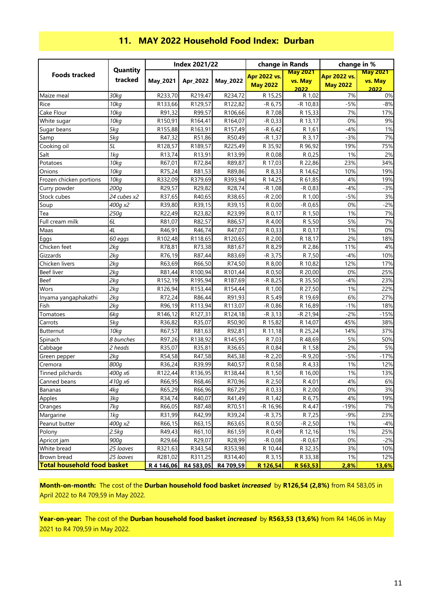|                                    |             |                      | <b>Index 2021/22</b> |                     | change in Rands     |                 | change in %         |                 |
|------------------------------------|-------------|----------------------|----------------------|---------------------|---------------------|-----------------|---------------------|-----------------|
| <b>Foods tracked</b>               | Quantity    |                      |                      |                     | <b>Apr 2022 vs.</b> | <b>May 2021</b> | <b>Apr 2022 vs.</b> | <b>May 2021</b> |
|                                    | tracked     | May_2021             | Apr 2022             | May_2022            | <b>May 2022</b>     | vs. May         | <b>May 2022</b>     | vs. May         |
| Maize meal                         | 30kg        | R233,70              | R219,47              | R234,72             | R 15,25             | 2022<br>R 1,02  | 7%                  | 2022<br>0%      |
| Rice                               | 10kg        | R133,66              | R129,57              | R122,82             | $-R$ 6,75           | -R 10,83        | $-5%$               | $-8%$           |
| Cake Flour                         | 10kg        | R91,32               | R99,57               | R106,66             | R 7,08              | R 15,33         | 7%                  | 17%             |
| White sugar                        | 70kg        | R150,91              | R164,41              | R164,07             | $-R$ 0,33           | R 13,17         | 0%                  | 9%              |
| Sugar beans                        | 5kg         | R155,88              | R163,91              | R <sub>157,49</sub> | $-R 6,42$           | R 1,61          | $-4%$               | 1%              |
| Samp                               | 5kg         | R47,32               | R51,86               | R50,49              | $-R$ 1,37           | R 3,17          | $-3%$               | 7%              |
| Cooking oil                        | 5L          | R <sub>128</sub> ,57 | R189,57              | R225,49             | R 35,92             | R 96,92         | 19%                 | 75%             |
| Salt                               | 1kg         | R13,74               | R13,91               | R13,99              | R 0,08              | R 0,25          | 1%                  | 2%              |
| Potatoes                           | 10kg        | R67,01               | R72,84               | R89,87              | R 17,03             | R 22,86         | 23%                 | 34%             |
| Onions                             | 10kg        | R75,24               | R81,53               | R89,86              | R 8,33              | R 14,62         | 10%                 | 19%             |
| Frozen chicken portions            | 10kg        | R332,09              | R379,69              | R393,94             | R 14,25             | R 61,85         | 4%                  | 19%             |
| Curry powder                       | 200g        | R29,57               | R29,82               | R28,74              | $-R 1,08$           | $-R 0,83$       | $-4%$               | $-3%$           |
| Stock cubes                        | 24 cubes x2 | R37,65               | R40,65               | R38,65              | $-R 2,00$           | R 1,00          | $-5%$               | 3%              |
| Soup                               | 400g x2     | R39,80               | R39,15               | R39,15              | R 0,00              | $-R$ 0,65       | 0%                  | $-2%$           |
| Tea                                | 250g        | R22,49               | R23,82               | R23,99              | R 0,17              | R 1,50          | 1%                  | 7%              |
| Full cream milk                    | 6L          | R81,07               | R82,57               | R86,57              | R 4,00              | R 5,50          | 5%                  | 7%              |
| Maas                               | 4L          | R46,91               | R46,74               | R47,07              | R 0,33              | R 0,17          | 1%                  | 0%              |
| Eggs                               | 60 eggs     | R102,48              | R118,65              | R120,65             | R 2,00              | R 18,17         | 2%                  | 18%             |
| Chicken feet                       | 2kg         | R78,81               | R73,38               | R81,67              | R 8,29              | R 2,86          | 11%                 | 4%              |
| Gizzards                           | 2kg         | R76,19               | R87,44               | R83,69              | $-R$ 3,75           | R 7,50          | $-4%$               | 10%             |
| Chicken livers                     | 2kg         | R63,69               | R66,50               | R74,50              | R 8,00              | R 10,82         | 12%                 | 17%             |
| <b>Beef liver</b>                  | 2kg         | R81,44               | R100,94              | R101,44             | R 0,50              | R 20,00         | 0%                  | 25%             |
| Beef                               | 2kg         | R152,19              | R195,94              | R187,69             | $-R$ 8,25           | R 35,50         | $-4%$               | 23%             |
| Wors                               | 2kg         | R126,94              | R153,44              | R154,44             | R 1,00              | R 27,50         | 1%                  | 22%             |
| Inyama yangaphakathi               | 2kg         | R72,24               | R86,44               | R91,93              | R 5,49              | R 19,69         | 6%                  | 27%             |
| Fish                               | 2kg         | R96,19               | R113,94              | R113,07             | $-R$ 0,86           | R 16,89         | $-1%$               | 18%             |
| Tomatoes                           | 6kg         | R146,12              | R127,31              | R124,18             | $-R$ 3,13           | -R 21,94        | $-2%$               | $-15%$          |
| Carrots                            | 5kg         | R36,82               | R35,07               | R50,90              | R 15,82             | R 14,07         | 45%                 | 38%             |
| Butternut                          | 10kg        | R67,57               | R81,63               | R92,81              | R 11,18             | R 25,24         | 14%                 | 37%             |
| Spinach                            | 8 bunches   | R97,26               | R138,92              | R145,95             | R 7,03              | R 48,69         | 5%                  | 50%             |
| Cabbage                            | 2 heads     | R35,07               | R35,81               | R36,65              | R 0,84              | R 1,58          | 2%                  | 5%              |
| Green pepper                       | 2kg         | R54,58               | R47,58               | R45,38              | $-R$ 2,20           | $-R9,20$        | $-5%$               | $-17%$          |
| Cremora                            | 800g        | R36,24               | R39,99               | R40,57              | R 0,58              | R 4,33          | 1%                  | 12%             |
| Tinned pilchards                   | 400g x6     | R122,44              | R136,95              | R138,44             | R 1,50              | R 16,00         | 1%                  | 13%             |
| <b>Canned beans</b>                | 410а х6     | R66,95               | R68,46               | R70,96              | R 2,50              | R 4.01          | 4%                  | 6%              |
| <b>Bananas</b>                     | 4kg         | R65,29               | R66,96               | R67,29              | R 0,33              | R 2,00          | 0%                  | 3%              |
| Apples                             | 3kg         | R34,74               | R40,07               | R41,49              | R 1,42              | R 6,75          | 4%                  | 19%             |
| Oranges                            | 7kg         | R66,05               | R87,48               | R70,51              | -R 16,96            | R 4,47          | $-19%$              | 7%              |
| Margarine                          | 1kg         | R31,99               | R42,99               | R39,24              | $-R$ 3,75           | R 7,25          | $-9%$               | 23%             |
| Peanut butter                      | 400g x2     | R66,15               | R63,15               | R63,65              | R 0,50              | $-R$ 2,50       | 1%                  | $-4%$           |
| Polony                             | 2.5kg       | R49,43               | R61,10               | R61,59              | R 0,49              | R 12,16         | 1%                  | 25%             |
| Apricot jam                        | 900g        | R29,66               | R29,07               | R28,99              | $-R$ 0,08           | $-R 0,67$       | 0%                  | $-2%$           |
| White bread                        | 25 loaves   | R321,63              | R343,54              | R353,98             | R 10,44             | R 32,35         | 3%                  | 10%             |
| Brown bread                        | 25 loaves   | R281,02              | R311,25              | R314,40             | R 3,15              | R 33,38         | 1%                  | 12%             |
| <b>Total household food basket</b> |             | R 4 146,06           | R4 583,05            | R4 709,59           | R 126,54            | R 563,53        | 2,8%                | 13,6%           |

## **11. MAY 2022 Household Food Index: Durban**

**Month-on-month:** The cost of the **Durban household food basket** *increased* by **R126,54 (2,8%)** from R4 583,05 in April 2022 to R4 709,59 in May 2022.

**Year-on-year:** The cost of the **Durban household food basket** *increased* by **R563,53 (13,6%)** from R4 146,06 in May 2021 to R4 709,59 in May 2022.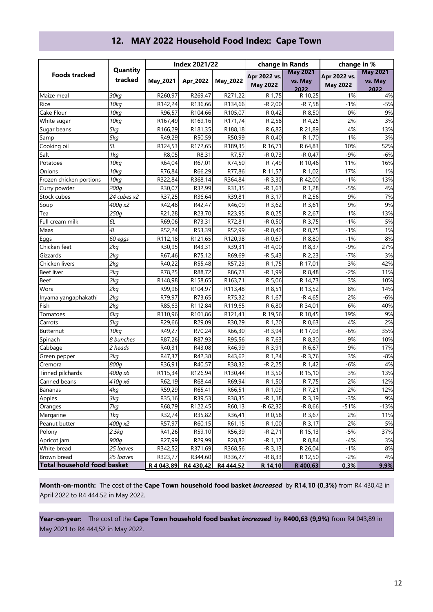|                                    |             |            | <b>Index 2021/22</b> |           | change in Rands |                 | change in %     |                 |
|------------------------------------|-------------|------------|----------------------|-----------|-----------------|-----------------|-----------------|-----------------|
| <b>Foods tracked</b>               | Quantity    |            |                      |           | Apr 2022 vs.    | <b>May 2021</b> | Apr 2022 vs.    | <b>May 2021</b> |
|                                    | tracked     | May_2021   | Apr 2022             | May_2022  | <b>May 2022</b> | vs. May         | <b>May 2022</b> | vs. May         |
| Maize meal                         | 30kg        | R260,97    | R269,47              | R271,22   | R 1,75          | 2022<br>R 10,25 | 1%              | 2022<br>4%      |
| Rice                               | 10kg        | R142,24    | R136,66              | R134,66   | $-R 2,00$       | $-R 7,58$       | $-1%$           | $-5%$           |
| Cake Flour                         | 10kg        | R96,57     | R104,66              | R105,07   | R 0,42          | R 8,50          | 0%              | 9%              |
| White sugar                        | 10kg        | R167,49    | R169,16              | R171,74   | R 2,58          | R 4,25          | 2%              | 3%              |
| Sugar beans                        | 5kg         | R166,29    | R181,35              | R188,18   | R 6,82          | R 21,89         | 4%              | 13%             |
| Samp                               | 5kg         | R49,29     | R50,59               | R50,99    | R 0,40          | R 1,70          | 1%              | 3%              |
| Cooking oil                        | 5L          | R124,53    | R172,65              | R189,35   | R 16,71         | R 64,83         | 10%             | 52%             |
| Salt                               | 1kg         | R8,05      | R8,31                | R7,57     | $-R 0,73$       | $-R 0,47$       | $-9%$           | $-6%$           |
| Potatoes                           | 10kg        | R64,04     | R67,01               | R74,50    | R 7,49          | R 10,46         | 11%             | 16%             |
| Onions                             | 10kg        | R76,84     | R66,29               | R77,86    | R 11,57         | R 1,02          | 17%             | 1%              |
| Frozen chicken portions            | 10kg        | R322,84    | R368,14              | R364,84   | $-R$ 3,30       | R 42,00         | $-1%$           | 13%             |
| Curry powder                       | 200g        | R30,07     | R32,99               | R31,35    | $-R 1,63$       | R 1,28          | $-5%$           | $4%$            |
| Stock cubes                        | 24 cubes x2 | R37,25     | R36,64               | R39,81    | R 3,17          | R 2,56          | 9%              | 7%              |
| Soup                               | 400g x2     | R42,48     | R42,47               | R46,09    | R 3,62          | R 3,61          | 9%              | 9%              |
| Tea                                | 250g        | R21,28     | R23,70               | R23,95    | R 0,25          | R 2,67          | 1%              | 13%             |
| Full cream milk                    | 6L          | R69,06     | R73,31               | R72,81    | $-R$ 0,50       | R 3,75          | $-1%$           | 5%              |
| Maas                               | 4L          | R52,24     | R53,39               | R52,99    | $-R 0,40$       | R 0,75          | $-1%$           | 1%              |
| Eggs                               | 60 eggs     | R112,18    | R121,65              | R120,98   | $-R$ 0,67       | R 8,80          | $-1%$           | 8%              |
| Chicken feet                       | 2kg         | R30,95     | R43,31               | R39,31    | $-R 4,00$       | R 8,37          | $-9%$           | 27%             |
| Gizzards                           | 2kg         | R67,46     | R75,12               | R69,69    | $-R 5,43$       | R 2,23          | $-7%$           | 3%              |
| Chicken livers                     | 2kg         | R40,22     | R55,48               | R57,23    | R 1,75          | R 17,01         | 3%              | 42%             |
| <b>Beef liver</b>                  | 2kg         | R78,25     | R88,72               | R86,73    | -R 1,99         | R 8,48          | $-2%$           | 11%             |
| <b>Beef</b>                        | 2kg         | R148,98    | R158,65              | R163,71   | R 5,06          | R 14,73         | 3%              | 10%             |
| Wors                               | 2kg         | R99,96     | R104,97              | R113,48   | R 8,51          | R 13,52         | 8%              | 14%             |
| Inyama yangaphakathi               | 2kg         | R79,97     | R73,65               | R75,32    | R 1,67          | $-R$ 4,65       | 2%              | $-6%$           |
| Fish                               | 2kg         | R85,63     | R112,84              | R119,65   | R 6,80          | R 34,01         | 6%              | 40%             |
| Tomatoes                           | 6kg         | R110,96    | R101,86              | R121,41   | R 19,56         | R 10,45         | 19%             | 9%              |
| Carrots                            | 5kg         | R29,66     | R29,09               | R30,29    | R 1,20          | R 0,63          | 4%              | 2%              |
| <b>Butternut</b>                   | 10kg        | R49,27     | R70,24               | R66,30    | $-R$ 3,94       | R 17,03         | $-6%$           | 35%             |
| Spinach                            | 8 bunches   | R87,26     | R87,93               | R95,56    | R 7,63          | R 8,30          | 9%              | 10%             |
| Cabbage                            | 2 heads     | R40,31     | R43,08               | R46,99    | R 3,91          | R 6,67          | 9%              | 17%             |
| Green pepper                       | 2kg         | R47,37     | R42,38               | R43,62    | R 1,24          | $-R$ 3,76       | 3%              | $-8%$           |
| Cremora                            | 800g        | R36,91     | R40,57               | R38,32    | $-R$ 2,25       | R 1,42          | $-6%$           | 4%              |
| Tinned pilchards                   | 400g x6     | R115,34    | R126,94              | R130,44   | R 3,50          | R 15,10         | 3%              | 13%             |
| Canned beans                       | 410а х6     | R62,19     | R68,44               | R69,94    | R 1,50          | R 7,75          | 2%              | 12%             |
| Bananas                            | 4kg         | R59,29     | R65,41               | R66,51    | R 1,09          | R 7,21          | 2%              | 12%             |
| Apples                             | 3kg         | R35,16     | R39,53               | R38,35    | $-R 1,18$       | R 3,19          | $-3%$           | 9%              |
| Oranges                            | 7kg         | R68,79     | R122,45              | R60,13    | -R 62,32        | $-R8,66$        | $-51%$          | $-13%$          |
| Margarine                          | 1kg         | R32,74     | R35,82               | R36,41    | R 0,58          | R 3,67          | 2%              | 11%             |
| Peanut butter                      | 400g x2     | R57,97     | R60,15               | R61,15    | R 1,00          | R 3,17          | 2%              | 5%              |
| Polony                             | 2.5kg       | R41,26     | R59,10               | R56,39    | -R 2,71         | R 15,13         | $-5%$           | 37%             |
| Apricot jam                        | 900g        | R27,99     | R29,99               | R28,82    | -R 1,17         | R 0,84          | $-4%$           | 3%              |
| White bread                        | 25 loaves   | R342,52    | R371,69              | R368,56   | $-R$ 3,13       | R 26,04         | $-1%$           | 8%              |
| <b>Brown bread</b>                 | 25 loaves   | R323,77    | R344,60              | R336,27   | $-R 8,33$       | R 12,50         | $-2%$           | 4%              |
| <b>Total household food basket</b> |             | R 4 043,89 | R4 430,42            | R4 444,52 | R 14,10         | R 400,63        | 0,3%            | 9,9%            |

## **12. MAY 2022 Household Food Index: Cape Town**

**Month-on-month:** The cost of the **Cape Town household food basket** *increased* by **R14,10 (0,3%)** from R4 430,42 in April 2022 to R4 444,52 in May 2022.

**Year-on-year:** The cost of the **Cape Town household food basket** *increased* by **R400,63 (9,9%)** from R4 043,89 in May 2021 to R4 444,52 in May 2022.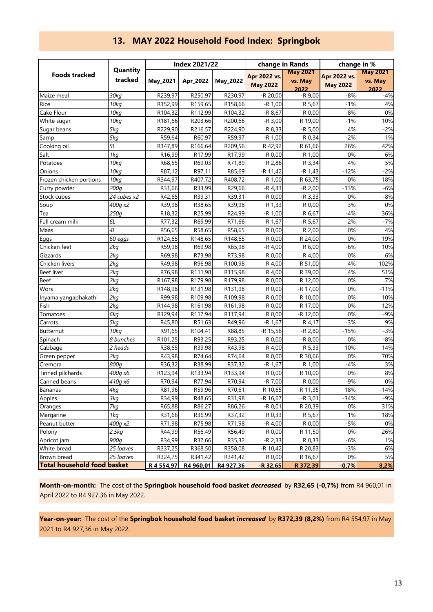| <b>Foods tracked</b>               | Quantity<br>tracked | <b>Index 2021/22</b> |           |                 | change in Rands |                 | change in %     |                 |
|------------------------------------|---------------------|----------------------|-----------|-----------------|-----------------|-----------------|-----------------|-----------------|
|                                    |                     | May_2021             | Apr 2022  |                 | Apr 2022 vs.    | <b>May 2021</b> | Apr 2022 vs.    | <b>May 2021</b> |
|                                    |                     |                      |           | <b>May_2022</b> | <b>May 2022</b> | vs. May         | <b>May 2022</b> | vs. May         |
|                                    |                     |                      |           |                 |                 | 2022            |                 | 2022            |
| Maize meal                         | 30kg                | R239,97              | R250,97   | R230,97         | $-R$ 20,00      | $-R9,00$        | $-8%$           | $-4%$           |
| Rice                               | 10kg                | R152,99              | R159,65   | R158,66         | $-R 1,00$       | R 5,67          | $-1%$           | 4%              |
| Cake Flour                         | 70kg                | R104,32              | R112,99   | R104,32         | $-R8,67$        | R 0,00          | $-8%$           | 0%              |
| White sugar                        | 10kg                | R181,66              | R203,66   | R200,66         | $-R$ 3,00       | R 19,00         | $-1%$           | 10%             |
| Sugar beans                        | 5kg                 | R229,90              | R216,57   | R224,90         | R 8,33          | $-R 5,00$       | 4%              | $-2%$           |
| Samp                               | 5kg                 | R59,64               | R60,97    | R59,97          | $-R 1,00$       | R 0,34          | $-2%$           | 1%              |
| Cooking oil                        | 5L                  | R147,89              | R166,64   | R209,56         | R 42,92         | R 61,66         | 26%             | 42%             |
| Salt                               | 1kg                 | R16,99               | R17,99    | R17,99          | R 0,00          | R 1,00          | 0%              | 6%              |
| Potatoes                           | 10kg                | R68,55               | R69,03    | R71,89          | R 2,86          | R 3,34          | 4%              | 5%              |
| Onions                             | 70kg                | R87,12               | R97,11    | R85,69          | $-R$ 11,42      | $-R 1,43$       | $-12%$          | $-2%$           |
| Frozen chicken portions            | 10kg                | R344,97              | R407,72   | R408,72         | R 1,00          | R 63,75         | 0%              | 18%             |
| Curry powder                       | 200g                | R31,66               | R33,99    | R29,66          | $-R$ 4,33       | $-R 2,00$       | $-13%$          | $-6%$           |
| Stock cubes                        | 24 cubes x2         | R42,65               | R39,31    | R39,31          | R 0,00          | $-R$ 3,33       | 0%              | $-8%$           |
| Soup                               | 400g x2             | R39,98               | R38,65    | R39,98          | R 1,33          | R 0,00          | 3%              | 0%              |
| Tea                                | 250g                | R18,32               | R25,99    | R24,99          | $-R 1,00$       | R 6,67          | $-4%$           | 36%             |
| Full cream milk                    | 6L                  | R77,32               | R69,99    | R71,66          | R 1,67          | $-R 5,67$       | 2%              | $-7%$           |
| Maas                               | 4L                  | R56,65               | R58,65    | R58,65          | R 0,00          | R 2,00          | 0%              | 4%              |
| Eggs                               | 60 eggs             | R124,65              | R148,65   | R148,65         | R 0,00          | R 24,00         | 0%              | 19%             |
| Chicken feet                       | 2kg                 | R59,98               | R69,98    | R65,98          | $-R 4,00$       | R 6,00          | $-6%$           | 10%             |
| Gizzards                           | 2kg                 | R69,98               | R73,98    | R73,98          | R 0,00          | R 4,00          | 0%              | 6%              |
| Chicken livers                     | 2kg                 | R49,98               | R96,98    | R100,98         | R 4,00          | R 51,00         | 4%              | 102%            |
| <b>Beef liver</b>                  | 2kq                 | R76,98               | R111,98   | R115,98         | R 4,00          | R 39,00         | 4%              | 51%             |
| <b>Beef</b>                        | 2kg                 | R167,98              | R179,98   | R179,98         | R 0,00          | R 12,00         | 0%              | 7%              |
| Wors                               | 2kg                 | R148,98              | R131,98   | R131,98         | R 0,00          | -R 17,00        | 0%              | $-11%$          |
| Inyama yangaphakathi               | 2kg                 | R99,98               | R109,98   | R109,98         | R 0,00          | R 10,00         | 0%              | 10%             |
| Fish                               | 2kg                 | R144,98              | R161,98   | R161,98         | R 0,00          | R 17,00         | 0%              | 12%             |
| Tomatoes                           | 6kg                 | R129,94              | R117,94   | R117,94         | R 0,00          | $-R$ 12,00      | 0%              | $-9%$           |
| Carrots                            | 5kg                 | R45,80               | R51,63    | R49,96          | $-R 1,67$       | R 4,17          | $-3%$           | 9%              |
| <b>Butternut</b>                   | 10kg                | R91,65               | R104,41   | R88,85          | $-R$ 15,56      | $-R$ 2,80       | $-15%$          | $-3%$           |
| Spinach                            | 8 bunches           | R101,25              | R93,25    | R93,25          | R 0,00          | $-R8,00$        | 0%              | $-8%$           |
| Cabbage                            | 2 heads             | R38,65               | R39,98    | R43,98          | R 4,00          | R 5,33          | 10%             | 14%             |
| Green pepper                       | 2kg                 | R43,98               | R74,64    | R74,64          | R 0,00          | R 30,66         | 0%              | 70%             |
| Cremora                            | 800a                | R36,32               | R38,99    | R37,32          | $-R 1,67$       | R 1,00          | $-4%$           | 3%              |
| Tinned pilchards                   | 400g x6             | R123,94              | R133,94   | R133,94         | R 0,00          | R 10,00         | 0%              | 8%              |
| Canned beans                       | 410a x6             | R70,94               | R77,94    | R70,94          | $-R$ $7,00$     | R 0,00          | $-9%$           | 0%              |
| Bananas                            | 4kg                 | R81,96               | R59,96    | R70,61          | R 10,65         | -R 11,35        | 18%             | $-14%$          |
| Apples                             | 3kg                 | R34,99               | R48,65    | R31,98          | -R 16,67        | $-R$ 3,01       | $-34%$          | $-9%$           |
| Oranges                            | 7kg                 | R65,88               | R86,27    | R86,26          | $-R 0,01$       | R 20,39         | 0%              | 31%             |
| Margarine                          | 1kg                 | R31,66               | R36,99    | R37,32          | R 0,33          | R 5,67          | 1%              | 18%             |
| Peanut butter                      | 400g x2             | R71,98               | R75,98    | R71,98          | -R 4,00         | R 0,00          | $-5%$           | 0%              |
| Polony                             | 2.5kg               | R44,99               | R56,49    | R56,49          | R 0,00          | R 11,50         | 0%              | 26%             |
| Apricot jam                        | 900g                | R34,99               | R37,66    | R35,32          | $-R$ 2,33       | R 0,33          | $-6%$           | 1%              |
| White bread                        | 25 loaves           | R337,25              | R368,50   | R358,08         | $-R 10,42$      | R 20,83         | $-3%$           | 6%              |
| Brown bread                        | 25 loaves           | R324,75              | R341,42   | R341,42         | R 0,00          | R 16,67         | 0%              | 5%              |
| <b>Total household food basket</b> |                     | R 4 554,97           | R4 960,01 | R4 927,36       | $-R$ 32,65      | R 372,39        | $-0,7%$         | 8,2%            |

## **13. MAY 2022 Household Food Index: Springbok**

**Month-on-month:** The cost of the **Springbok household food basket** *decreased* by **R32,65 (-0,7%)** from R4 960,01 in April 2022 to R4 927,36 in May 2022.

**Year-on-year:** The cost of the **Springbok household food basket** *increased* by **R372,39 (8,2%)** from R4 554,97 in May 2021 to R4 927,36 in May 2022.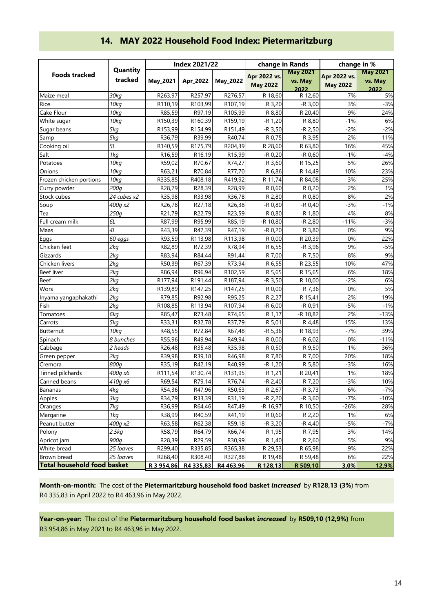| <b>Foods tracked</b>               | Quantity<br>tracked | <b>Index 2021/22</b> |                   |                   | change in Rands       |                        | change in %     |                 |
|------------------------------------|---------------------|----------------------|-------------------|-------------------|-----------------------|------------------------|-----------------|-----------------|
|                                    |                     | May_2021             | Apr 2022          | May_2022          | Apr 2022 vs.          | <b>May 2021</b>        | Apr 2022 vs.    | <b>May 2021</b> |
|                                    |                     |                      |                   |                   | <b>May 2022</b>       | vs. May                | <b>May 2022</b> | vs. May         |
| Maize meal                         | 30kg                | R263,97              | R257,97           | R276,57           | R 18,60               | 2022<br>R 12,60        | 7%              | 2022<br>5%      |
| Rice                               | 10kg                | R110,19              | R103,99           | R107,19           | R 3,20                | $-R$ 3,00              | 3%              | $-3%$           |
| Cake Flour                         | 10kg                | R85,59               | R97,19            | R105,99           | R 8,80                | R 20,40                | 9%              | 24%             |
| White sugar                        | 10kg                | R150,39              | R160,39           | R159,19           | $-R 1,20$             | R 8,80                 | $-1%$           | 6%              |
| Sugar beans                        | 5kg                 | R153,99              | R154,99           | R151,49           | $-R$ 3,50             | $-R$ 2,50              | $-2%$           | $-2%$           |
| Samp                               | 5kg                 | R36,79               | R39,99            | R40.74            | R 0,75                | R 3,95                 | 2%              | 11%             |
| Cooking oil                        | 5L                  | R140,59              | R175,79           | R204,39           | R 28,60               | R 63,80                | 16%             | 45%             |
| Salt                               | 1kg                 | R16,59               | R16,19            | R15,99            | $-R 0,20$             | $-R$ 0,60              | $-1%$           | $-4%$           |
| Potatoes                           | 10kg                | R59,02               | R70,67            | R74,27            | R 3,60                | R 15,25                | 5%              | 26%             |
| Onions                             | 10kg                | R63,21               | R70,84            | R77,70            | R 6,86                | R 14,49                | 10%             | 23%             |
| Frozen chicken portions            | 10kg                | R335,85              | R408,18           | R419,92           | R 11,74               | R 84,08                | 3%              | 25%             |
|                                    | 200 <sub>g</sub>    | R28,79               | R28,39            | R28,99            |                       | R 0,20                 | 2%              | 1%              |
| Curry powder                       |                     |                      |                   |                   | R 0,60                |                        | 8%              | 2%              |
| Stock cubes                        | 24 cubes x2         | R35,98<br>R26,78     | R33,98            | R36,78<br>R26,38  | R 2,80                | R 0,80                 | $-3%$           | $-1%$           |
| Soup                               | 400g x2             |                      | R27,18            |                   | $-R$ $0,80$           | -R 0,40                |                 |                 |
| Tea                                | 250g                | R21,79               | R22,79            | R23,59            | R 0,80                | R 1,80                 | 4%              | 8%              |
| Full cream milk                    | 6L                  | R87,99               | R95,99            | R85,19            | -R 10,80              | $-R$ 2,80              | $-11%$          | $-3%$           |
| Maas                               | 4L                  | R43,39               | R47,39            | R47,19            | $-R 0,20$             | R 3,80                 | 0%              | 9%              |
| Eggs                               | 60 eggs             | R93,59               | R113,98           | R113,98           | R 0,00                | R 20,39                | 0%              | 22%             |
| Chicken feet                       | 2kq                 | R82,89               | R72,39            | R78,94            | R 6,55                | $-R$ 3,96              | 9%              | $-5%$           |
| Gizzards                           | 2kq                 | R83,94               | R84,44            | R91,44            | R 7,00                | R 7,50                 | 8%              | 9%              |
| Chicken livers                     | 2kq                 | R50,39               | R67,39            | R73,94            | R 6,55                | R 23,55                | 10%             | 47%             |
| <b>Beef liver</b>                  | 2kq                 | R86,94               | R96,94            | R102,59           | R 5,65                | R 15,65                | 6%              | 18%             |
| <b>Beef</b>                        | 2kq                 | R177,94              | R191,44           | R187,94           | $-R$ 3,50             | R 10,00                | $-2%$           | 6%              |
| Wors                               | 2kg                 | R139,89              | R147,25           | R147,25           | R 0,00                | R 7,36                 | 0%              | 5%              |
| Inyama yangaphakathi               | 2kg                 | R79,85               | R92,98            | R95,25            | R 2,27                | R 15,41                | 2%              | 19%             |
| Fish                               | 2kg                 | R108,85              | R113,94           | R107,94           | $-R 6,00$             | $-R 0,91$              | $-5%$<br>2%     | $-1%$           |
| Tomatoes                           | 6kg                 | R85,47               | R73,48            | R74,65            | R 1,17                | $-R$ 10,82             |                 | $-13%$          |
| Carrots                            | 5kg                 | R33,31               | R32,78            | R37,79            | R 5,01                | R 4,48                 | 15%             | 13%             |
| Butternut                          | 10 <sub>kq</sub>    | R48,55               | R72,84            | R67,48            | $-R 5,36$             | R 18,93                | $-7%$           | 39%             |
| Spinach                            | 8 bunches           | R55,96               | R49,94            | R49,94            | R 0,00                | $-R 6,02$              | 0%              | $-11%$          |
| Cabbage                            | 2 heads             | R26,48               | R35,48            | R35,98            | R 0,50                | R 9,50                 | 1%              | 36%             |
| Green pepper                       | 2kq                 | R39,98               | R39,18            | R46,98            | R 7,80                | R 7,00                 | 20%             | 18%             |
| Cremora                            | 800g                | R35,19               | R42,19            | R40,99            | $-R 1,20$             | R 5,80                 | $-3%$           | 16%             |
| Tinned pilchards                   | 400g x6<br>410a x6  | R111,54              | R130,74<br>R79,14 | R131,95<br>R76,74 | R 1,21                | R 20,41<br>R 7,20      | 1%<br>$-3%$     | 18%<br>10%      |
| Canned beans<br>Bananas            |                     | R69,54               |                   |                   | $-R 2,40$             |                        | 6%              |                 |
|                                    | 4kg<br>3kg          | R54,36<br>R34,79     | R47,96<br>R33,39  | R50,63<br>R31,19  | R 2,67                | $-R$ 3,73<br>$-R$ 3,60 | $-7%$           | $-7%$<br>$-10%$ |
| Apples                             | 7kg                 | R36,99               | R64,46            | R47,49            | $-R 2,20$<br>-R 16,97 | R 10,50                | $-26%$          | 28%             |
| Oranges<br>Margarine               |                     |                      |                   |                   |                       |                        |                 |                 |
| Peanut butter                      | 1kg<br>400g x2      | R38,99               | R40,59            | R41,19            | R 0,60                | R 2,20                 | 1%<br>$-5%$     | 6%<br>$-7%$     |
|                                    | 2.5kg               | R63,58<br>R58,79     | R62,38            | R59,18<br>R66,74  | $-R$ 3,20             | -R 4,40                | 3%              | 14%             |
| Polony<br>Apricot jam              | 900g                | R28,39               | R64,79<br>R29,59  |                   | R 1,95                | R 7,95                 | 5%              |                 |
| White bread                        | 25 loaves           | R299,40              | R335,85           | R30,99<br>R365,38 | R 1,40<br>R 29,53     | R 2,60<br>R 65,98      | 9%              | 9%<br>22%       |
| <b>Brown bread</b>                 | 25 loaves           | R268,40              | R308,40           | R327,88           | R 19,48               | R 59,48                | 6%              | 22%             |
| <b>Total household food basket</b> |                     | R 3 954,86           | R4 335,83         | R4 463,96         | R 128,13              | R 509,10               | 3,0%            | 12,9%           |

# **14. MAY 2022 Household Food Index: Pietermaritzburg**

**Month-on-month:** The cost of the **Pietermaritzburg household food basket** *increased* by **R128,13 (3%**) from R4 335,83 in April 2022 to R4 463,96 in May 2022.

**Year-on-year:** The cost of the **Pietermaritzburg household food basket** *increased* by **R509,10 (12,9%)** from R3 954,86 in May 2021 to R4 463,96 in May 2022.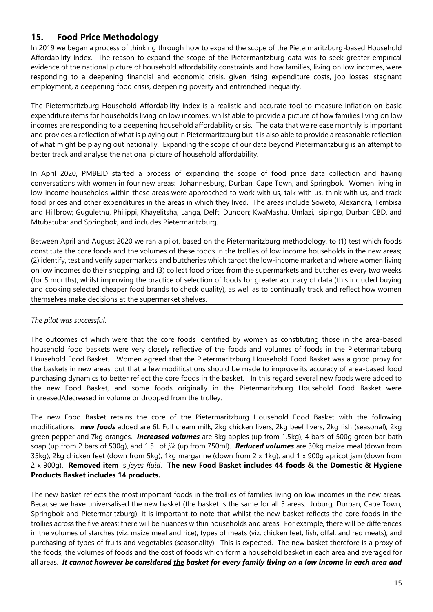## **15. Food Price Methodology**

In 2019 we began a process of thinking through how to expand the scope of the Pietermaritzburg-based Household Affordability Index. The reason to expand the scope of the Pietermaritzburg data was to seek greater empirical evidence of the national picture of household affordability constraints and how families, living on low incomes, were responding to a deepening financial and economic crisis, given rising expenditure costs, job losses, stagnant employment, a deepening food crisis, deepening poverty and entrenched inequality.

The Pietermaritzburg Household Affordability Index is a realistic and accurate tool to measure inflation on basic expenditure items for households living on low incomes, whilst able to provide a picture of how families living on low incomes are responding to a deepening household affordability crisis. The data that we release monthly is important and provides a reflection of what is playing out in Pietermaritzburg but it is also able to provide a reasonable reflection of what might be playing out nationally. Expanding the scope of our data beyond Pietermaritzburg is an attempt to better track and analyse the national picture of household affordability.

In April 2020, PMBEJD started a process of expanding the scope of food price data collection and having conversations with women in four new areas: Johannesburg, Durban, Cape Town, and Springbok. Women living in low-income households within these areas were approached to work with us, talk with us, think with us, and track food prices and other expenditures in the areas in which they lived. The areas include Soweto, Alexandra, Tembisa and Hillbrow; Gugulethu, Philippi, Khayelitsha, Langa, Delft, Dunoon; KwaMashu, Umlazi, Isipingo, Durban CBD, and Mtubatuba; and Springbok, and includes Pietermaritzburg.

Between April and August 2020 we ran a pilot, based on the Pietermaritzburg methodology, to (1) test which foods constitute the core foods and the volumes of these foods in the trollies of low income households in the new areas; (2) identify, test and verify supermarkets and butcheries which target the low-income market and where women living on low incomes do their shopping; and (3) collect food prices from the supermarkets and butcheries every two weeks (for 5 months), whilst improving the practice of selection of foods for greater accuracy of data (this included buying and cooking selected cheaper food brands to check quality), as well as to continually track and reflect how women themselves make decisions at the supermarket shelves.

#### *The pilot was successful.*

The outcomes of which were that the core foods identified by women as constituting those in the area-based household food baskets were very closely reflective of the foods and volumes of foods in the Pietermaritzburg Household Food Basket. Women agreed that the Pietermaritzburg Household Food Basket was a good proxy for the baskets in new areas, but that a few modifications should be made to improve its accuracy of area-based food purchasing dynamics to better reflect the core foods in the basket. In this regard several new foods were added to the new Food Basket, and some foods originally in the Pietermaritzburg Household Food Basket were increased/decreased in volume or dropped from the trolley.

The new Food Basket retains the core of the Pietermaritzburg Household Food Basket with the following modifications: *new foods* added are 6L Full cream milk, 2kg chicken livers, 2kg beef livers, 2kg fish (seasonal), 2kg green pepper and 7kg oranges. *Increased volumes* are 3kg apples (up from 1,5kg), 4 bars of 500g green bar bath soap (up from 2 bars of 500g), and 1,5L of *jik* (up from 750ml). *Reduced volumes* are 30kg maize meal (down from 35kg), 2kg chicken feet (down from 5kg), 1kg margarine (down from 2 x 1kg), and 1 x 900g apricot jam (down from 2 x 900g). **Removed item** is *jeyes fluid*. **The new Food Basket includes 44 foods & the Domestic & Hygiene Products Basket includes 14 products.**

The new basket reflects the most important foods in the trollies of families living on low incomes in the new areas. Because we have universalised the new basket (the basket is the same for all 5 areas: Joburg, Durban, Cape Town, Springbok and Pietermaritzburg), it is important to note that whilst the new basket reflects the core foods in the trollies across the five areas; there will be nuances within households and areas. For example, there will be differences in the volumes of starches (viz. maize meal and rice); types of meats (viz. chicken feet, fish, offal, and red meats); and purchasing of types of fruits and vegetables (seasonality). This is expected. The new basket therefore is a proxy of the foods, the volumes of foods and the cost of foods which form a household basket in each area and averaged for all areas.*It cannot however be considered the basket for every family living on a low income in each area and*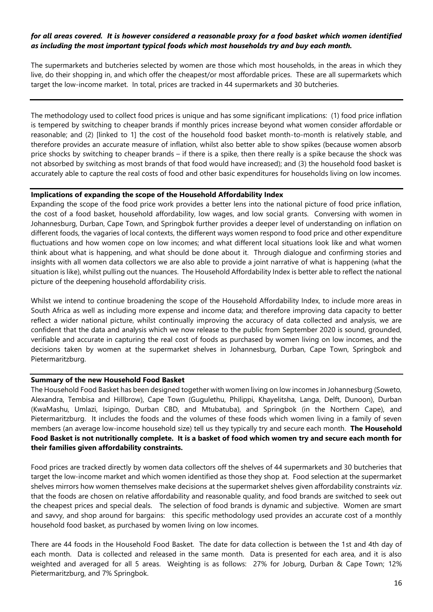#### *for all areas covered. It is however considered a reasonable proxy for a food basket which women identified as including the most important typical foods which most households try and buy each month.*

The supermarkets and butcheries selected by women are those which most households, in the areas in which they live, do their shopping in, and which offer the cheapest/or most affordable prices. These are all supermarkets which target the low-income market. In total, prices are tracked in 44 supermarkets and 30 butcheries.

The methodology used to collect food prices is unique and has some significant implications: (1) food price inflation is tempered by switching to cheaper brands if monthly prices increase beyond what women consider affordable or reasonable; and (2) [linked to 1] the cost of the household food basket month-to-month is relatively stable, and therefore provides an accurate measure of inflation, whilst also better able to show spikes (because women absorb price shocks by switching to cheaper brands – if there is a spike, then there really is a spike because the shock was not absorbed by switching as most brands of that food would have increased); and (3) the household food basket is accurately able to capture the real costs of food and other basic expenditures for households living on low incomes.

#### **Implications of expanding the scope of the Household Affordability Index**

Expanding the scope of the food price work provides a better lens into the national picture of food price inflation, the cost of a food basket, household affordability, low wages, and low social grants. Conversing with women in Johannesburg, Durban, Cape Town, and Springbok further provides a deeper level of understanding on inflation on different foods, the vagaries of local contexts, the different ways women respond to food price and other expenditure fluctuations and how women cope on low incomes; and what different local situations look like and what women think about what is happening, and what should be done about it. Through dialogue and confirming stories and insights with all women data collectors we are also able to provide a joint narrative of what is happening (what the situation is like), whilst pulling out the nuances. The Household Affordability Index is better able to reflect the national picture of the deepening household affordability crisis.

Whilst we intend to continue broadening the scope of the Household Affordability Index, to include more areas in South Africa as well as including more expense and income data; and therefore improving data capacity to better reflect a wider national picture, whilst continually improving the accuracy of data collected and analysis, we are confident that the data and analysis which we now release to the public from September 2020 is sound, grounded, verifiable and accurate in capturing the real cost of foods as purchased by women living on low incomes, and the decisions taken by women at the supermarket shelves in Johannesburg, Durban, Cape Town, Springbok and Pietermaritzburg.

#### **Summary of the new Household Food Basket**

The Household Food Basket has been designed together with women living on low incomes in Johannesburg (Soweto, Alexandra, Tembisa and Hillbrow), Cape Town (Gugulethu, Philippi, Khayelitsha, Langa, Delft, Dunoon), Durban (KwaMashu, Umlazi, Isipingo, Durban CBD, and Mtubatuba), and Springbok (in the Northern Cape), and Pietermaritzburg. It includes the foods and the volumes of these foods which women living in a family of seven members (an average low-income household size) tell us they typically try and secure each month. **The Household Food Basket is not nutritionally complete. It is a basket of food which women try and secure each month for their families given affordability constraints.**

Food prices are tracked directly by women data collectors off the shelves of 44 supermarkets and 30 butcheries that target the low-income market and which women identified as those they shop at. Food selection at the supermarket shelves mirrors how women themselves make decisions at the supermarket shelves given affordability constraints *viz*. that the foods are chosen on relative affordability and reasonable quality, and food brands are switched to seek out the cheapest prices and special deals. The selection of food brands is dynamic and subjective. Women are smart and savvy, and shop around for bargains: this specific methodology used provides an accurate cost of a monthly household food basket, as purchased by women living on low incomes.

There are 44 foods in the Household Food Basket. The date for data collection is between the 1st and 4th day of each month. Data is collected and released in the same month. Data is presented for each area, and it is also weighted and averaged for all 5 areas. Weighting is as follows: 27% for Joburg, Durban & Cape Town; 12% Pietermaritzburg, and 7% Springbok.